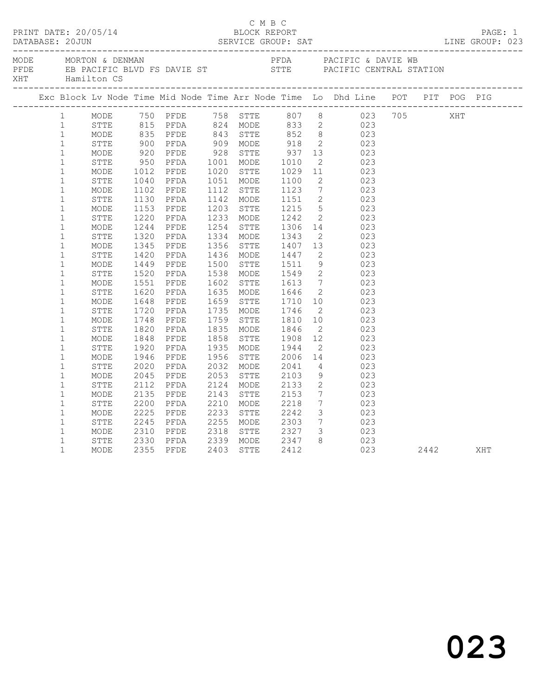| XHT |              |              | Hamilton CS |              | MODE MORTON & DENMAN                                                                                        |      |           |                                  |                 | PFDA PACIFIC & DAVIE WB<br>PFDE EB PACIFIC BLVD FS DAVIE ST STTE PACIFIC CENTRAL STATION                                                                     |              |     |  |
|-----|--------------|--------------|-------------|--------------|-------------------------------------------------------------------------------------------------------------|------|-----------|----------------------------------|-----------------|--------------------------------------------------------------------------------------------------------------------------------------------------------------|--------------|-----|--|
|     |              |              |             |              |                                                                                                             |      |           |                                  |                 |                                                                                                                                                              |              |     |  |
|     |              | $\mathbf{1}$ | MODE        |              |                                                                                                             |      |           |                                  |                 | 750 PFDE 758 STTE 807 8 023 705<br>815 PFDA 824 MODE 833 2 023<br>835 PFDE 843 STTE 852 8 023<br>900 PFDA 909 MODE 918 2 023<br>920 PFDE 928 STTE 937 13 023 |              | XHT |  |
|     |              | $1 \quad$    | STTE        |              |                                                                                                             |      |           |                                  |                 |                                                                                                                                                              |              |     |  |
|     |              | $\mathbf{1}$ | MODE        |              |                                                                                                             |      |           |                                  |                 |                                                                                                                                                              |              |     |  |
|     |              | $\mathbf{1}$ | STTE        |              | PFDA 909 MODE 918<br>PFDE 928 STTE 937<br>PFDA 1001 MODE 1010<br>PFDE 1020 STTE 1029<br>PFDA 1051 MODE 1100 |      |           |                                  |                 |                                                                                                                                                              |              |     |  |
|     |              | $\mathbf{1}$ | MODE        |              |                                                                                                             |      |           |                                  |                 |                                                                                                                                                              |              |     |  |
|     |              | $\mathbf{1}$ | STTE        | 950          |                                                                                                             |      |           |                                  |                 | 2 023                                                                                                                                                        |              |     |  |
|     | $\mathbf{1}$ |              | MODE        | 1012<br>1040 |                                                                                                             |      |           |                                  |                 | $\begin{array}{ccc} 11 & \hspace{1.5cm} & 023 \\ 2 & \hspace{1.5cm} & 023 \end{array}$                                                                       |              |     |  |
|     |              | $\mathbf{1}$ | STTE        |              |                                                                                                             |      |           |                                  |                 |                                                                                                                                                              |              |     |  |
|     |              | $\mathbf{1}$ | MODE        | 1102         | PFDE                                                                                                        |      | 1112 STTE | 1123<br>1151                     |                 | $\begin{array}{ccc} 7 & 023 \\ 2 & 023 \end{array}$                                                                                                          |              |     |  |
|     |              | $\mathbf{1}$ | STTE        | 1130         | PFDA                                                                                                        |      | 1142 MODE |                                  |                 |                                                                                                                                                              |              |     |  |
|     |              | $\mathbf 1$  | MODE        | 1153         | PFDE                                                                                                        |      | 1203 STTE | 1215                             |                 | 5 023                                                                                                                                                        |              |     |  |
|     | $\mathbf 1$  |              | STTE        | 1220         | PFDA                                                                                                        |      | 1233 MODE | 1242                             | $\overline{2}$  | 023                                                                                                                                                          |              |     |  |
|     |              | $\mathbf{1}$ | MODE        | 1244         | PFDE                                                                                                        |      | 1254 STTE | 1306                             |                 | $14$ 023                                                                                                                                                     |              |     |  |
|     | $\mathbf{1}$ |              | STTE        | 1320         | PFDA                                                                                                        |      | 1334 MODE | 1343<br>1407                     |                 | $\begin{array}{ccc} 2 & \hspace{1.5cm} 023 \\ 13 & \hspace{1.5cm} 023 \end{array}$                                                                           |              |     |  |
|     |              | $\mathbf 1$  | MODE        | 1345         | PFDE                                                                                                        |      | 1356 STTE |                                  |                 |                                                                                                                                                              |              |     |  |
|     |              | $\mathbf{1}$ | STTE        | 1420         | PFDA                                                                                                        |      | 1436 MODE | 1447                             |                 | 2 023                                                                                                                                                        |              |     |  |
|     |              | $\mathbf{1}$ | MODE        | 1449         | PFDE                                                                                                        |      | 1500 STTE | 1511                             | 9               | 023                                                                                                                                                          |              |     |  |
|     | $\mathbf{1}$ |              | STTE        | 1520         | PFDA                                                                                                        |      |           | 1538 MODE 1549                   | $\overline{2}$  | 023                                                                                                                                                          |              |     |  |
|     | $\mathbf{1}$ |              | MODE        | 1551         | PFDE                                                                                                        |      | 1602 STTE | 1613<br>1646                     |                 | $\begin{array}{ccc} 7 & 023 \\ 2 & 023 \end{array}$                                                                                                          |              |     |  |
|     |              | $\mathbf{1}$ | STTE        | 1620         | PFDA                                                                                                        |      | 1635 MODE |                                  |                 |                                                                                                                                                              |              |     |  |
|     |              | $\mathbf 1$  | MODE        | 1648         | PFDE                                                                                                        |      | 1659 STTE | 1710<br>1746                     |                 | $10$ 023                                                                                                                                                     |              |     |  |
|     |              | $\mathbf 1$  | STTE        | 1720         | PFDA                                                                                                        |      | 1735 MODE |                                  | $\overline{2}$  | 023                                                                                                                                                          |              |     |  |
|     |              | $\mathbf{1}$ | MODE        | 1748         | PFDE                                                                                                        |      | 1759 STTE | 1810                             |                 | 10 023                                                                                                                                                       |              |     |  |
|     |              | $\mathbf{1}$ | STTE        | 1820<br>1848 | PFDA                                                                                                        |      | 1835 MODE | 1846<br>1908                     | 2               | 023                                                                                                                                                          |              |     |  |
|     |              | $\mathbf 1$  | MODE        |              | PFDE                                                                                                        |      | 1858 STTE |                                  |                 | $\frac{2}{12}$ $\frac{525}{023}$                                                                                                                             |              |     |  |
|     |              | $1\,$        | STTE        | 1920         | PFDA                                                                                                        |      | 1935 MODE | 1944<br>2006                     |                 | $\begin{array}{c} 2 \\ 14 \end{array}$<br>023                                                                                                                |              |     |  |
|     |              | $\mathbf{1}$ | MODE        | 1946         | PFDE                                                                                                        |      | 1956 STTE |                                  |                 | 023                                                                                                                                                          |              |     |  |
|     |              | $\mathbf 1$  | STTE        | 2020         | PFDA                                                                                                        |      | 2032 MODE | 2041                             |                 | 4 023                                                                                                                                                        |              |     |  |
|     | $\mathbf{1}$ |              | MODE        | 2045         | PFDE                                                                                                        |      | 2053 STTE | 2103                             | 9               | 023                                                                                                                                                          |              |     |  |
|     |              | $\mathbf{1}$ | STTE        | 2112         | PFDA                                                                                                        |      | 2124 MODE | 2133                             | $\overline{2}$  | 023                                                                                                                                                          |              |     |  |
|     |              | $\mathbf{1}$ | MODE        | 2135         | PFDE                                                                                                        | 2143 | STTE      | 2153<br>2218                     |                 | $\frac{7}{7}$<br>023                                                                                                                                         |              |     |  |
|     |              | $\mathbf 1$  | STTE        | 2200         | PFDA                                                                                                        |      | 2210 MODE |                                  |                 | 023                                                                                                                                                          |              |     |  |
|     |              | $\mathbf{1}$ | MODE        | 2225         | PFDE                                                                                                        | 2233 | STTE      | 2242                             | $\mathcal{S}$   | 023                                                                                                                                                          |              |     |  |
|     |              | $\mathbf{1}$ | STTE        | 2245         | PFDA                                                                                                        |      | 2255 MODE | 2303                             | $7\overline{ }$ | 023                                                                                                                                                          |              |     |  |
|     |              | $\mathbf{1}$ | MODE        | 2310         | PFDE                                                                                                        |      |           | 2318 STTE 2327                   | $\mathcal{S}$   | 023                                                                                                                                                          |              |     |  |
|     | $\mathbf{1}$ |              | STTE        |              | 2330 PFDA<br>2355 PFDE<br>PFDA                                                                              |      |           | 2339 MODE 2347<br>2403 STTE 2412 |                 | $8 \t 023$                                                                                                                                                   |              |     |  |
|     | $\mathbf{1}$ |              | MODE        |              |                                                                                                             |      |           |                                  |                 |                                                                                                                                                              | 023 2442 XHT |     |  |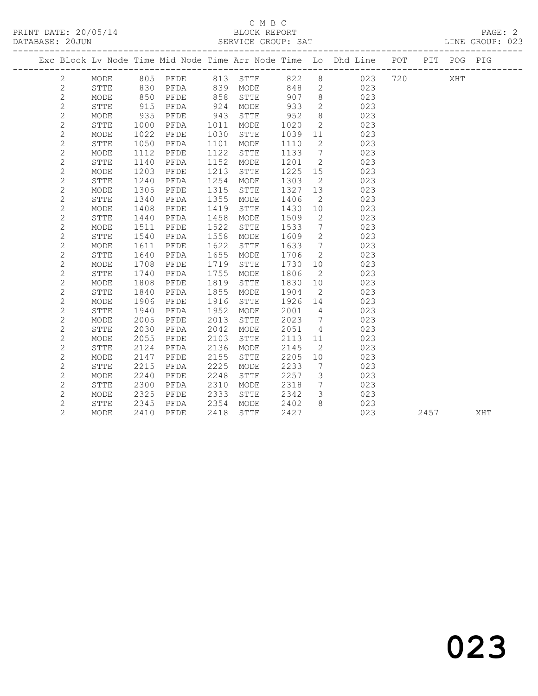### C M B C<br>BLOCK REPORT SERVICE GROUP: SAT

|  |                |             |      |      |      |             |      |                 | Exc Block Lv Node Time Mid Node Time Arr Node Time Lo Dhd Line POT |     | PIT POG PIG |  |
|--|----------------|-------------|------|------|------|-------------|------|-----------------|--------------------------------------------------------------------|-----|-------------|--|
|  | $\mathbf{2}$   | MODE        | 805  | PFDE | 813  | STTE        | 822  | $\,8\,$         | 023                                                                | 720 | XHT         |  |
|  | $\overline{c}$ | STTE        | 830  | PFDA | 839  | MODE        | 848  | 2               | 023                                                                |     |             |  |
|  | $\overline{c}$ | MODE        | 850  | PFDE | 858  | STTE        | 907  | 8               | 023                                                                |     |             |  |
|  | $\mathbf{2}$   | STTE        | 915  | PFDA | 924  | MODE        | 933  | $\mathbf{2}$    | 023                                                                |     |             |  |
|  | $\overline{c}$ | MODE        | 935  | PFDE | 943  | <b>STTE</b> | 952  | 8               | 023                                                                |     |             |  |
|  | $\overline{c}$ | <b>STTE</b> | 1000 | PFDA | 1011 | MODE        | 1020 | $\mathbf{2}$    | 023                                                                |     |             |  |
|  | $\overline{c}$ | MODE        | 1022 | PFDE | 1030 | STTE        | 1039 | 11              | 023                                                                |     |             |  |
|  | $\overline{c}$ | STTE        | 1050 | PFDA | 1101 | MODE        | 1110 | 2               | 023                                                                |     |             |  |
|  | $\overline{c}$ | MODE        | 1112 | PFDE | 1122 | STTE        | 1133 | $7\phantom{.0}$ | 023                                                                |     |             |  |
|  | $\overline{c}$ | <b>STTE</b> | 1140 | PFDA | 1152 | MODE        | 1201 | $\mathbf{2}$    | 023                                                                |     |             |  |
|  | $\overline{c}$ | MODE        | 1203 | PFDE | 1213 | <b>STTE</b> | 1225 | 15              | 023                                                                |     |             |  |
|  | $\overline{c}$ | <b>STTE</b> | 1240 | PFDA | 1254 | MODE        | 1303 | 2               | 023                                                                |     |             |  |
|  | $\mathbf{2}$   | MODE        | 1305 | PFDE | 1315 | STTE        | 1327 | 13              | 023                                                                |     |             |  |
|  | $\mathbf{2}$   | <b>STTE</b> | 1340 | PFDA | 1355 | MODE        | 1406 | 2               | 023                                                                |     |             |  |
|  | $\overline{c}$ | MODE        | 1408 | PFDE | 1419 | <b>STTE</b> | 1430 | 10              | 023                                                                |     |             |  |
|  | $\overline{c}$ | <b>STTE</b> | 1440 | PFDA | 1458 | MODE        | 1509 | 2               | 023                                                                |     |             |  |
|  | $\overline{c}$ | MODE        | 1511 | PFDE | 1522 | <b>STTE</b> | 1533 | 7               | 023                                                                |     |             |  |
|  | $\mathbf{2}$   | <b>STTE</b> | 1540 | PFDA | 1558 | MODE        | 1609 | 2               | 023                                                                |     |             |  |
|  | $\mathbf{2}$   | MODE        | 1611 | PFDE | 1622 | <b>STTE</b> | 1633 | 7               | 023                                                                |     |             |  |
|  | $\overline{c}$ | <b>STTE</b> | 1640 | PFDA | 1655 | MODE        | 1706 | 2               | 023                                                                |     |             |  |
|  | $\overline{c}$ | MODE        | 1708 | PFDE | 1719 | STTE        | 1730 | 10              | 023                                                                |     |             |  |
|  | $\mathbf{2}$   | STTE        | 1740 | PFDA | 1755 | MODE        | 1806 | 2               | 023                                                                |     |             |  |
|  | $\overline{c}$ | MODE        | 1808 | PFDE | 1819 | STTE        | 1830 | 10              | 023                                                                |     |             |  |
|  | $\mathbf{2}$   | <b>STTE</b> | 1840 | PFDA | 1855 | MODE        | 1904 | 2               | 023                                                                |     |             |  |
|  | $\overline{c}$ | MODE        | 1906 | PFDE | 1916 | <b>STTE</b> | 1926 | 14              | 023                                                                |     |             |  |
|  | $\overline{c}$ | STTE        | 1940 | PFDA | 1952 | MODE        | 2001 | 4               | 023                                                                |     |             |  |
|  | $\overline{c}$ | MODE        | 2005 | PFDE | 2013 | STTE        | 2023 | 7               | 023                                                                |     |             |  |
|  | $\overline{c}$ | STTE        | 2030 | PFDA | 2042 | MODE        | 2051 | 4               | 023                                                                |     |             |  |
|  | $\overline{c}$ | MODE        | 2055 | PFDE | 2103 | <b>STTE</b> | 2113 | 11              | 023                                                                |     |             |  |
|  | $\overline{c}$ | STTE        | 2124 | PFDA | 2136 | MODE        | 2145 | 2               | 023                                                                |     |             |  |
|  | $\mathbf{2}$   | MODE        | 2147 | PFDE | 2155 | <b>STTE</b> | 2205 | 10              | 023                                                                |     |             |  |
|  | $\mathbf{2}$   | STTE        | 2215 | PFDA | 2225 | MODE        | 2233 | 7               | 023                                                                |     |             |  |
|  | $\overline{c}$ | MODE        | 2240 | PFDE | 2248 | STTE        | 2257 | $\mathcal{E}$   | 023                                                                |     |             |  |
|  | $\overline{2}$ | <b>STTE</b> | 2300 | PFDA | 2310 | MODE        | 2318 | $7\overline{ }$ | 023                                                                |     |             |  |

 2 MODE 2325 PFDE 2333 STTE 2342 3 023 2 STTE 2345 PFDA 2354 MODE 2402 8 023

2 MODE 2410 PFDE 2418 STTE 2427 023 2457 XHT

023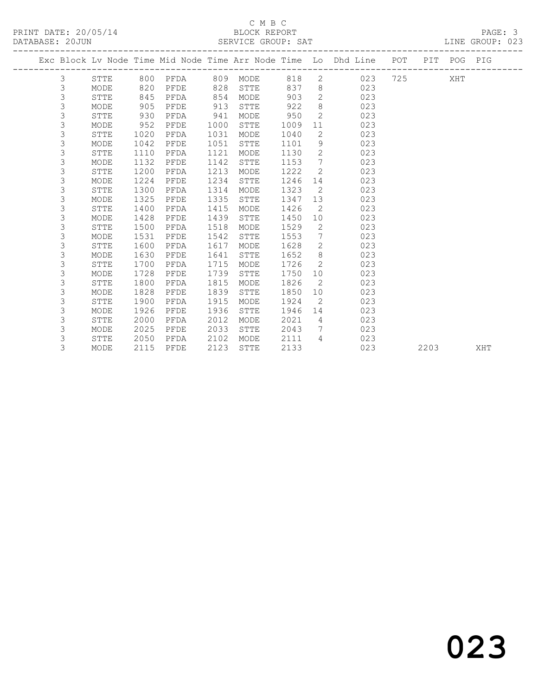PRINT DATE: 20/05/14 BLOCK REPORT BLOCK REPORT

## C M B C<br>BLOCK REPORT

| DATABASE: 20JUN |   |             |      |          |      | SERVICE GROUP: SAT |      |                 |                                                                                |           |      |     | LINE GROUP: 023 |  |
|-----------------|---|-------------|------|----------|------|--------------------|------|-----------------|--------------------------------------------------------------------------------|-----------|------|-----|-----------------|--|
|                 |   |             |      |          |      |                    |      |                 | Exc Block Lv Node Time Mid Node Time Arr Node Time Lo Dhd Line POT PIT POG PIG |           |      |     |                 |  |
|                 | 3 | STTE        |      | 800 PFDA |      | 809 MODE           | 818  |                 | $\overline{2}$<br>023                                                          | 725 — 120 |      | XHT |                 |  |
|                 | 3 | MODE        | 820  | PFDE     | 828  | STTE               | 837  | 8 <sup>8</sup>  | 023                                                                            |           |      |     |                 |  |
|                 | 3 | STTE        | 845  | PFDA     | 854  | MODE               | 903  | $\overline{2}$  | 023                                                                            |           |      |     |                 |  |
|                 | 3 | MODE        | 905  | PFDE     | 913  | STTE               | 922  | 8               | 023                                                                            |           |      |     |                 |  |
|                 | 3 | STTE        | 930  | PFDA     | 941  | MODE               | 950  | 2               | 023                                                                            |           |      |     |                 |  |
|                 | 3 | MODE        | 952  | PFDE     | 1000 | STTE               | 1009 | 11              | 023                                                                            |           |      |     |                 |  |
|                 | 3 | STTE        | 1020 | PFDA     | 1031 | MODE               | 1040 | $\mathbf{2}$    | 023                                                                            |           |      |     |                 |  |
|                 | 3 | MODE        | 1042 | PFDE     | 1051 | STTE               | 1101 | 9               | 023                                                                            |           |      |     |                 |  |
|                 | 3 | <b>STTE</b> | 1110 | PFDA     | 1121 | MODE               | 1130 | $\overline{2}$  | 023                                                                            |           |      |     |                 |  |
|                 | 3 | MODE        | 1132 | PFDE     | 1142 | STTE               | 1153 | $7\phantom{0}$  | 023                                                                            |           |      |     |                 |  |
|                 | 3 | <b>STTE</b> | 1200 | PFDA     | 1213 | MODE               | 1222 | $\overline{2}$  | 023                                                                            |           |      |     |                 |  |
|                 | 3 | MODE        | 1224 | PFDE     | 1234 | STTE               | 1246 | 14              | 023                                                                            |           |      |     |                 |  |
|                 | 3 | STTE        | 1300 | PFDA     | 1314 | MODE               | 1323 | 2               | 023                                                                            |           |      |     |                 |  |
|                 | 3 | MODE        | 1325 | PFDE     | 1335 | STTE               | 1347 | 13              | 023                                                                            |           |      |     |                 |  |
|                 | 3 | STTE        | 1400 | PFDA     | 1415 | MODE               | 1426 | 2               | 023                                                                            |           |      |     |                 |  |
|                 | 3 | MODE        | 1428 | PFDE     | 1439 | STTE               | 1450 | 10              | 023                                                                            |           |      |     |                 |  |
|                 | 3 | STTE        | 1500 | PFDA     | 1518 | MODE               | 1529 | $\mathbf{2}$    | 023                                                                            |           |      |     |                 |  |
|                 | 3 | MODE        | 1531 | PFDE     | 1542 | <b>STTE</b>        | 1553 | $7\phantom{.0}$ | 023                                                                            |           |      |     |                 |  |
|                 | 3 | <b>STTE</b> | 1600 | PFDA     | 1617 | MODE               | 1628 | $\mathbf{2}$    | 023                                                                            |           |      |     |                 |  |
|                 | 3 | MODE        | 1630 | PFDE     | 1641 | STTE               | 1652 | 8               | 023                                                                            |           |      |     |                 |  |
|                 | 3 | STTE        | 1700 | PFDA     | 1715 | MODE               | 1726 | $\overline{2}$  | 023                                                                            |           |      |     |                 |  |
|                 | 3 | MODE        | 1728 | PFDE     | 1739 | STTE               | 1750 | 10              | 023                                                                            |           |      |     |                 |  |
|                 | 3 | <b>STTE</b> | 1800 | PFDA     | 1815 | MODE               | 1826 | 2               | 023                                                                            |           |      |     |                 |  |
|                 | 3 | MODE        | 1828 | PFDE     | 1839 | <b>STTE</b>        | 1850 | 10              | 023                                                                            |           |      |     |                 |  |
|                 | 3 | STTE        | 1900 | PFDA     | 1915 | MODE               | 1924 | 2               | 023                                                                            |           |      |     |                 |  |
|                 | 3 | MODE        | 1926 | PFDE     | 1936 | STTE               | 1946 | 14              | 023                                                                            |           |      |     |                 |  |
|                 | 3 | <b>STTE</b> | 2000 | PFDA     | 2012 | MODE               | 2021 | $\overline{4}$  | 023                                                                            |           |      |     |                 |  |
|                 | 3 | MODE        | 2025 | PFDE     | 2033 | STTE               | 2043 | $7\phantom{0}$  | 023                                                                            |           |      |     |                 |  |
|                 | 3 | STTE        | 2050 | PFDA     | 2102 | MODE               | 2111 | $\overline{4}$  | 023                                                                            |           |      |     |                 |  |
|                 | 3 | MODE        | 2115 | PFDE     | 2123 | <b>STTE</b>        | 2133 |                 | 023                                                                            |           | 2203 |     | XHT             |  |
|                 |   |             |      |          |      |                    |      |                 |                                                                                |           |      |     |                 |  |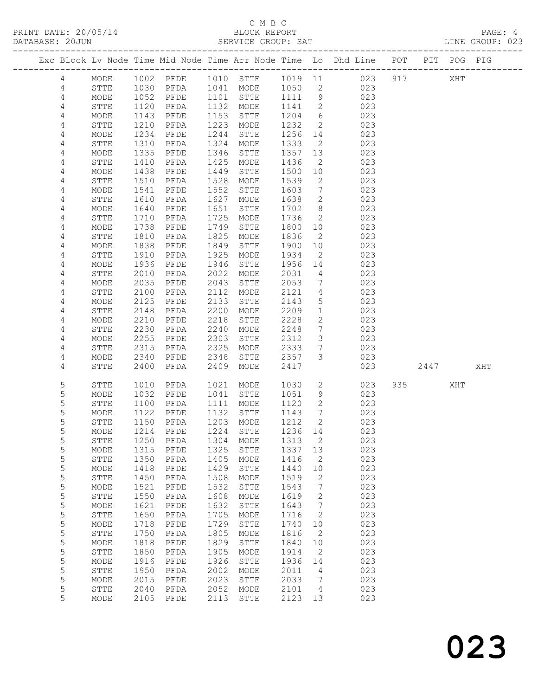### C M B C<br>BLOCK REPORT

LINE GROUP: 023

|  |                |              |              |              |              |                                   |              |                      | Exc Block Lv Node Time Mid Node Time Arr Node Time Lo Dhd Line POT |     |      | PIT POG PIG |     |
|--|----------------|--------------|--------------|--------------|--------------|-----------------------------------|--------------|----------------------|--------------------------------------------------------------------|-----|------|-------------|-----|
|  | 4              | MODE         | 1002         | PFDE         |              | 1010 STTE                         |              |                      | 1019 11 023                                                        | 917 |      | XHT         |     |
|  | 4              | STTE         |              | PFDA         |              | 1041 MODE                         | 1050         | $\overline{2}$       | 023                                                                |     |      |             |     |
|  | $\sqrt{4}$     | MODE         | 1030<br>1052 | PFDE         | 1101         | STTE                              | 1111         | 9                    | 023                                                                |     |      |             |     |
|  | $\overline{4}$ | STTE         | 1120         | PFDA         | 1132         | MODE                              | 1141         | $\overline{2}$       | 023                                                                |     |      |             |     |
|  | 4              | MODE         | 1143         | PFDE         | 1153         | STTE                              | 1204         | $6\overline{6}$      | 023                                                                |     |      |             |     |
|  | 4              | STTE         | 1210         | PFDA         | 1223         | MODE                              | 1232         | $\overline{2}$       | 023                                                                |     |      |             |     |
|  | 4              | MODE         | 1234         | PFDE         | 1244         | STTE                              | 1256         | 14                   | 023                                                                |     |      |             |     |
|  | 4              | STTE         | 1310         | PFDA         | 1324         | MODE                              | 1333         | $\overline{2}$       | 023                                                                |     |      |             |     |
|  | 4              | MODE         | 1335         | PFDE         | 1346         | STTE                              | 1357         | 13                   | 023                                                                |     |      |             |     |
|  | 4              | STTE         | 1410<br>1438 | PFDA<br>PFDE | 1425<br>1449 | MODE<br>STTE                      | 1436<br>1500 | $\overline{2}$<br>10 | 023<br>023                                                         |     |      |             |     |
|  | 4<br>4         | MODE<br>STTE | 1510         | PFDA         | 1528         | MODE                              | 1539         | 2                    | 023                                                                |     |      |             |     |
|  | 4              | MODE         | 1541         | PFDE         | 1552         | STTE                              | 1603         | $7\phantom{.0}$      | 023                                                                |     |      |             |     |
|  | 4              | STTE         | 1610         | PFDA         | 1627         | MODE                              | 1638         | $\mathbf{2}$         | 023                                                                |     |      |             |     |
|  | 4              | MODE         | 1640         | PFDE         | 1651         | STTE                              | 1702         | 8                    | 023                                                                |     |      |             |     |
|  | 4              | STTE         | 1710         | PFDA         | 1725         | MODE                              | 1736         | $\mathbf{2}$         | 023                                                                |     |      |             |     |
|  | 4              | MODE         | 1738         | PFDE         | 1749         | STTE                              | 1800         | 10                   | 023                                                                |     |      |             |     |
|  | 4              | STTE         | 1810         | PFDA         | 1825         | MODE                              | 1836         | $\overline{2}$       | 023                                                                |     |      |             |     |
|  | 4              | MODE         | 1838         | PFDE         | 1849         | STTE                              | 1900         | 10                   | 023                                                                |     |      |             |     |
|  | 4              | ${\tt STTE}$ | 1910         | PFDA         | 1925         | MODE                              | 1934         | 2                    | 023                                                                |     |      |             |     |
|  | 4              | MODE         | 1936         | PFDE         | 1946         | STTE                              | 1956         | 14                   | 023                                                                |     |      |             |     |
|  | 4              | STTE         | 2010         | PFDA         | 2022         | MODE                              | 2031         | $\overline{4}$       | 023                                                                |     |      |             |     |
|  | 4              | MODE         | 2035         | PFDE         | 2043         | STTE                              | 2053         | $7\phantom{.0}$      | 023                                                                |     |      |             |     |
|  | 4              | STTE         | 2100         | PFDA         | 2112         | MODE                              | 2121         | 4                    | 023                                                                |     |      |             |     |
|  | 4              | MODE         | 2125         | PFDE         | 2133<br>2200 | STTE                              | 2143         | 5<br>$\mathbf{1}$    | 023                                                                |     |      |             |     |
|  | 4<br>4         | STTE<br>MODE | 2148<br>2210 | PFDA<br>PFDE | 2218         | $\texttt{MODE}{}$<br>${\tt STTE}$ | 2209<br>2228 | $\mathbf{2}$         | 023<br>023                                                         |     |      |             |     |
|  | 4              | STTE         | 2230         | PFDA         | 2240         | MODE                              | 2248         | $7\phantom{.0}$      | 023                                                                |     |      |             |     |
|  | 4              | MODE         | 2255         | PFDE         | 2303         | STTE                              | 2312         | $\mathcal{S}$        | 023                                                                |     |      |             |     |
|  | 4              | STTE         | 2315         | PFDA         | 2325         | MODE                              | 2333         | $7\phantom{.0}$      | 023                                                                |     |      |             |     |
|  | 4              | MODE         | 2340         | PFDE         | 2348         | ${\tt STTE}$                      | 2357         | $\mathcal{S}$        | 023                                                                |     |      |             |     |
|  | 4              | STTE         | 2400         | PFDA         | 2409         | MODE                              | 2417         |                      | 023                                                                |     | 2447 |             | XHT |
|  |                |              |              |              |              |                                   |              |                      |                                                                    |     |      |             |     |
|  | 5              | STTE         | 1010         | PFDA         | 1021         | MODE                              | 1030         | $\overline{2}$       | 023                                                                | 935 |      | XHT         |     |
|  | 5              | MODE         | 1032         | PFDE         | 1041         | STTE                              | 1051         | 9                    | 023                                                                |     |      |             |     |
|  | 5              | STTE         | 1100         | PFDA         | 1111         | MODE                              | 1120         | $\overline{2}$       | 023                                                                |     |      |             |     |
|  | 5<br>5         | MODE<br>STTE | 1122<br>1150 | PFDE<br>PFDA | 1132<br>1203 | STTE<br>MODE                      | 1143<br>1212 | $\overline{7}$<br>2  | 023<br>023                                                         |     |      |             |     |
|  | 5              | MODE         | 1214         | PFDE         | 1224         | STTE                              | 1236 14      |                      | 023                                                                |     |      |             |     |
|  | 5              | ${\tt STTE}$ |              |              |              | 1250 PFDA 1304 MODE 1313 2        |              |                      | 023                                                                |     |      |             |     |
|  | 5              | MODE         | 1315         | PFDE         | 1325         | STTE                              | 1337         | 13                   | 023                                                                |     |      |             |     |
|  | 5              | STTE         | 1350         | PFDA         | 1405         | MODE                              | 1416         | 2                    | 023                                                                |     |      |             |     |
|  | 5              | MODE         | 1418         | PFDE         | 1429         | STTE                              | 1440         | 10                   | 023                                                                |     |      |             |     |
|  | 5              | STTE         | 1450         | PFDA         | 1508         | MODE                              | 1519         | 2                    | 023                                                                |     |      |             |     |
|  | 5              | $\sf{MODE}$  | 1521         | PFDE         | 1532         | STTE                              | 1543         | 7                    | 023                                                                |     |      |             |     |
|  | 5              | STTE         | 1550         | PFDA         | 1608         | MODE                              | 1619         | 2                    | 023                                                                |     |      |             |     |
|  | 5              | MODE         | 1621         | PFDE         | 1632         | ${\tt STTE}$                      | 1643         | 7                    | 023                                                                |     |      |             |     |
|  | 5              | STTE         | 1650         | PFDA         | 1705         | MODE                              | 1716         | 2                    | 023                                                                |     |      |             |     |
|  | 5              | MODE         | 1718         | PFDE         | 1729         | STTE                              | 1740         | 10                   | 023                                                                |     |      |             |     |
|  | 5              | STTE         | 1750         | PFDA         | 1805         | MODE                              | 1816         | 2                    | 023                                                                |     |      |             |     |
|  | 5              | MODE         | 1818         | PFDE         | 1829<br>1905 | STTE                              | 1840         | 10                   | 023                                                                |     |      |             |     |
|  | 5<br>5         | STTE<br>MODE | 1850<br>1916 | PFDA<br>PFDE | 1926         | MODE<br>STTE                      | 1914<br>1936 | 2<br>14              | 023<br>023                                                         |     |      |             |     |
|  | 5              | STTE         | 1950         | PFDA         | 2002         | MODE                              | 2011         | 4                    | 023                                                                |     |      |             |     |
|  | 5              | MODE         | 2015         | PFDE         | 2023         | STTE                              | 2033         | 7                    | 023                                                                |     |      |             |     |
|  | 5              | STTE         | 2040         | PFDA         | 2052         | MODE                              | 2101         | 4                    | 023                                                                |     |      |             |     |
|  | 5              | MODE         | 2105         | PFDE         | 2113         | ${\tt STTE}$                      | 2123         | 13                   | 023                                                                |     |      |             |     |
|  |                |              |              |              |              |                                   |              |                      |                                                                    |     |      |             |     |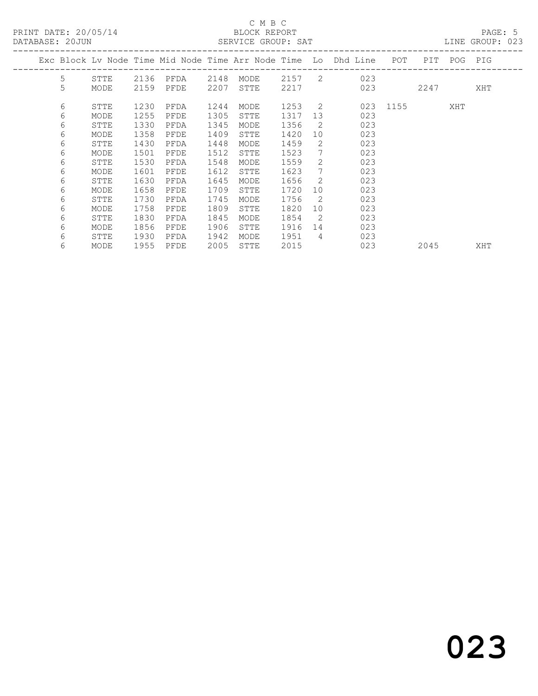### C M B C<br>BLOCK REPORT SERVICE GROUP: SAT

| DAIADAJE. ZUUUN |      |      |      |      | OLAVICL GAUUF, OAI |        |                 |                                                                |              |      |             | LIND GROUF, UZJ |
|-----------------|------|------|------|------|--------------------|--------|-----------------|----------------------------------------------------------------|--------------|------|-------------|-----------------|
|                 |      |      |      |      |                    |        |                 | Exc Block Lv Node Time Mid Node Time Arr Node Time Lo Dhd Line | POT          |      | PIT POG PIG |                 |
| 5               | STTE | 2136 | PFDA | 2148 | MODE               |        |                 | 2157 2 023                                                     |              |      |             |                 |
| 5               | MODE | 2159 | PFDE | 2207 | STTE               | 2217   |                 | 023                                                            |              | 2247 |             | XHT             |
| 6               | STTE | 1230 | PFDA | 1244 | MODE               | 1253 2 |                 |                                                                | 023 1155 XHT |      |             |                 |
| 6               | MODE | 1255 | PFDE | 1305 | STTE               | 1317   | 13              | 023                                                            |              |      |             |                 |
| 6               | STTE | 1330 | PFDA | 1345 | MODE               | 1356   | $\overline{2}$  | 023                                                            |              |      |             |                 |
| 6               | MODE | 1358 | PFDE | 1409 | STTE               | 1420   | 10              | 023                                                            |              |      |             |                 |
| 6               | STTE | 1430 | PFDA | 1448 | MODE               | 1459   | 2               | 023                                                            |              |      |             |                 |
| 6               | MODE | 1501 | PFDE | 1512 | STTE               | 1523   | $7\phantom{.0}$ | 023                                                            |              |      |             |                 |
| 6               | STTE | 1530 | PFDA | 1548 | MODE               | 1559   | 2               | 023                                                            |              |      |             |                 |
| 6               | MODE | 1601 | PFDE | 1612 | STTE               | 1623   | $7\phantom{.0}$ | 023                                                            |              |      |             |                 |
| 6               | STTE | 1630 | PFDA | 1645 | MODE               | 1656   | 2               | 023                                                            |              |      |             |                 |
| 6               | MODE | 1658 | PFDE | 1709 | STTE               | 1720   | 10              | 023                                                            |              |      |             |                 |
| 6               | STTE | 1730 | PFDA | 1745 | MODE               | 1756   | 2               | 023                                                            |              |      |             |                 |
| 6               | MODE | 1758 | PFDE | 1809 | STTE               | 1820   | 10              | 023                                                            |              |      |             |                 |
| 6               | STTE | 1830 | PFDA | 1845 | MODE               | 1854   | $\overline{2}$  | 023                                                            |              |      |             |                 |
| 6               | MODE | 1856 | PFDE | 1906 | STTE               | 1916   | 14              | 023                                                            |              |      |             |                 |
| 6               | STTE | 1930 | PFDA | 1942 | MODE               | 1951   | $\overline{4}$  | 023                                                            |              |      |             |                 |
| 6               | MODE | 1955 | PFDE | 2005 | STTE               | 2015   |                 | 023                                                            |              | 2045 |             | XHT             |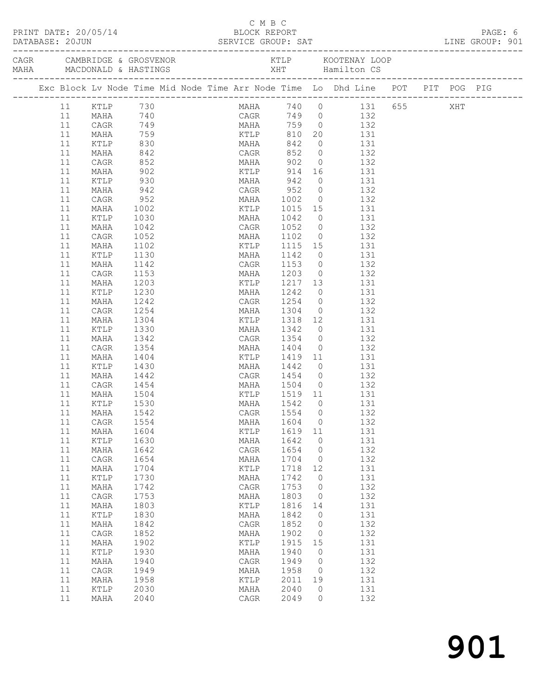|          |                            |                            |  | C M B C                  |              |                |                                                                                                           |  | PAGE: 6         |
|----------|----------------------------|----------------------------|--|--------------------------|--------------|----------------|-----------------------------------------------------------------------------------------------------------|--|-----------------|
|          |                            |                            |  |                          |              |                | PRINT DATE: 20/05/14<br>DATABASE: 20JUN<br>DATABASE: 20JUN<br>SERVICE GROUP: SAT                          |  | LINE GROUP: 901 |
|          |                            |                            |  |                          |              |                |                                                                                                           |  |                 |
|          |                            |                            |  |                          |              |                | Exc Block Lv Node Time Mid Node Time Arr Node Time Lo Dhd Line POT PIT POG PIG                            |  |                 |
|          |                            |                            |  |                          |              |                |                                                                                                           |  |                 |
|          | 11 KTLP 730<br>11 MAHA 740 |                            |  |                          |              |                | MAHA 740 0 131 655 XHT<br>CAGR 749 0 132                                                                  |  |                 |
| 11       | CAGR                       |                            |  |                          |              |                | 749 MAHA 759 0 132                                                                                        |  |                 |
| 11       |                            |                            |  |                          |              |                |                                                                                                           |  |                 |
| 11       |                            |                            |  |                          |              |                |                                                                                                           |  |                 |
| 11       |                            |                            |  |                          |              |                | MAHA 759 KTLP 810 20 131<br>KTLP 830 MAHA 842 0 131<br>MAHA 842 CAGR 852 0 132<br>CAGR 852 MAHA 902 0 132 |  |                 |
| 11       |                            |                            |  |                          |              |                |                                                                                                           |  |                 |
| 11       | MAHA                       | $902$<br>930<br>942<br>952 |  |                          |              |                | KTLP 914 16 131                                                                                           |  |                 |
| 11       | KTLP                       |                            |  |                          |              |                | MAHA 942 0 131<br>CAGR 952 0 132                                                                          |  |                 |
| 11<br>11 | MAHA                       |                            |  |                          |              |                | MAHA 1002 0 132                                                                                           |  |                 |
| 11       | CAGR<br>MAHA               | 1002                       |  |                          |              |                |                                                                                                           |  |                 |
| 11       | KTLP                       |                            |  |                          |              |                | KTLP 1015 15 131                                                                                          |  |                 |
| 11       | MAHA                       | 1030<br>1042               |  |                          |              |                | MAHA 1042 0 131<br>CAGR 1052 0 132<br>MAHA 1102 0 132                                                     |  |                 |
| 11       | CAGR                       | 1052                       |  |                          |              |                |                                                                                                           |  |                 |
| 11       | MAHA                       | 1102                       |  |                          |              |                | KTLP 1115 15 131                                                                                          |  |                 |
| 11       | KTLP                       | 1130                       |  |                          |              |                |                                                                                                           |  |                 |
| 11       | MAHA                       | 1142                       |  |                          |              |                | MAHA 1142 0 131<br>CAGR 1153 0 132                                                                        |  |                 |
| 11       | CAGR                       | 1153                       |  |                          |              |                | MAHA 1203 0 132                                                                                           |  |                 |
| 11       | MAHA                       | 1203                       |  |                          |              |                | KTLP 1217 13 131                                                                                          |  |                 |
| 11       | KTLP                       | 1230                       |  |                          |              |                | MAHA 1242 0 131<br>CAGR 1254 0 132                                                                        |  |                 |
| 11       | MAHA                       | 1242                       |  |                          |              |                |                                                                                                           |  |                 |
| 11       | CAGR                       | 1254                       |  |                          |              |                | MAHA 1304 0 132                                                                                           |  |                 |
| 11       | MAHA                       | 1304                       |  |                          |              |                | KTLP 1318 12 131                                                                                          |  |                 |
| 11       | KTLP                       | 1330                       |  | MAHA 1342                |              |                | $\begin{matrix}0&131\end{matrix}$                                                                         |  |                 |
| 11       | MAHA                       | 1342                       |  | CAGR 1354 0<br>MAHA 1404 |              |                | 132<br>$\begin{array}{ccc} 0 & 132 \\ 0 & 132 \end{array}$                                                |  |                 |
| 11       | CAGR                       | 1354                       |  |                          |              |                |                                                                                                           |  |                 |
| 11<br>11 | MAHA<br>KTLP               | 1404                       |  |                          |              |                | KTLP 1419 11 131                                                                                          |  |                 |
| 11       |                            | 1430                       |  | CAGR 1454 0              |              |                | MAHA 1442 0 131<br>132                                                                                    |  |                 |
| 11       | MAHA 1442<br>CAGR 1454     |                            |  |                          |              |                | MAHA 1504 0 132                                                                                           |  |                 |
| 11       | MAHA                       | 1504                       |  |                          |              |                | KTLP 1519 11 131                                                                                          |  |                 |
| 11       | KTLP                       | 1530                       |  | MAHA                     | 1542         | $\overline{0}$ | - 131                                                                                                     |  |                 |
|          | 11 MAHA 1542               |                            |  | CAGR 1554 0              |              |                | 132                                                                                                       |  |                 |
| 11       | CAGR                       | 1554                       |  | MAHA                     | 1604         | $\circ$        | 132                                                                                                       |  |                 |
| 11       | MAHA                       | 1604                       |  | KTLP                     | 1619         | 11             | 131                                                                                                       |  |                 |
| 11       | KTLP                       | 1630                       |  | MAHA                     | 1642         | $\mathbf{0}$   | 131                                                                                                       |  |                 |
| 11       | MAHA                       | 1642                       |  | CAGR                     | 1654         | 0              | 132                                                                                                       |  |                 |
| 11       | CAGR                       | 1654                       |  | MAHA                     | 1704         | 0              | 132                                                                                                       |  |                 |
| 11       | MAHA                       | 1704                       |  | KTLP                     | 1718         | 12             | 131                                                                                                       |  |                 |
| 11       | KTLP                       | 1730                       |  | MAHA                     | 1742         | $\mathbf{0}$   | 131                                                                                                       |  |                 |
| 11       | MAHA                       | 1742                       |  | CAGR                     | 1753         | $\circ$        | 132                                                                                                       |  |                 |
| 11       | CAGR                       | 1753                       |  | MAHA                     | 1803         | $\circ$        | 132                                                                                                       |  |                 |
| 11       | MAHA                       | 1803                       |  | KTLP                     | 1816         | 14             | 131                                                                                                       |  |                 |
| 11       | KTLP                       | 1830                       |  | MAHA                     | 1842         | $\mathbf 0$    | 131                                                                                                       |  |                 |
| 11<br>11 | MAHA                       | 1842<br>1852               |  | ${\tt CAGR}$             | 1852<br>1902 | 0<br>$\circ$   | 132<br>132                                                                                                |  |                 |
| 11       | CAGR<br>MAHA               | 1902                       |  | MAHA<br>KTLP             | 1915         | 15             | 131                                                                                                       |  |                 |
| 11       | KTLP                       | 1930                       |  | MAHA                     | 1940         | $\mathbf{0}$   | 131                                                                                                       |  |                 |
| 11       | MAHA                       | 1940                       |  | CAGR                     | 1949         | 0              | 132                                                                                                       |  |                 |
| 11       | CAGR                       | 1949                       |  | MAHA                     | 1958         | 0              | 132                                                                                                       |  |                 |
| 11       | MAHA                       | 1958                       |  | KTLP                     | 2011         | 19             | 131                                                                                                       |  |                 |
| 11       | KTLP                       | 2030                       |  | MAHA                     | 2040         | 0              | 131                                                                                                       |  |                 |
| 11       | MAHA                       | 2040                       |  | CAGR                     | 2049         | 0              | 132                                                                                                       |  |                 |
|          |                            |                            |  |                          |              |                |                                                                                                           |  |                 |

901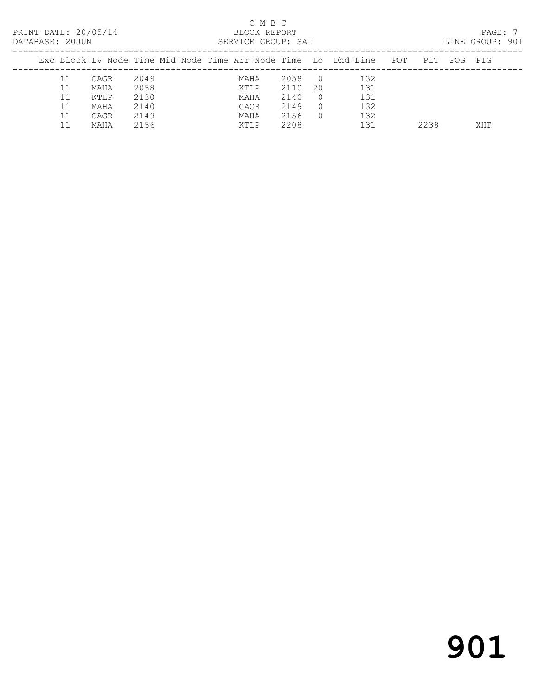| PRINT DATE: 20/05/14<br>DATABASE: 20JUN |    |      |      |  |      | C M B C<br>BLOCK REPORT | SERVICE GROUP: SAT |            |                                                                    |      |     | PAGE: 7<br>LINE GROUP: 901 |  |
|-----------------------------------------|----|------|------|--|------|-------------------------|--------------------|------------|--------------------------------------------------------------------|------|-----|----------------------------|--|
|                                         |    |      |      |  |      |                         |                    |            | Exc Block Ly Node Time Mid Node Time Arr Node Time Lo Dhd Line POT | PTT  | POG | PIG                        |  |
|                                         | 11 | CAGR | 2049 |  | MAHA |                         | 2058               | $\bigcirc$ | 132                                                                |      |     |                            |  |
|                                         | 11 | MAHA | 2058 |  | KTLP |                         | 2110               | 20         | 131                                                                |      |     |                            |  |
|                                         | 11 | KTLP | 2130 |  | MAHA |                         | 2140               | $\Omega$   | 131                                                                |      |     |                            |  |
|                                         | 11 | MAHA | 2140 |  | CAGR |                         | 2149               | $\Omega$   | 132                                                                |      |     |                            |  |
|                                         | 11 | CAGR | 2149 |  | MAHA |                         | 2156               | $\Omega$   | 132                                                                |      |     |                            |  |
|                                         |    | MAHA | 2156 |  | KTLP |                         | 2208               |            | 131                                                                | 2238 |     | XHT                        |  |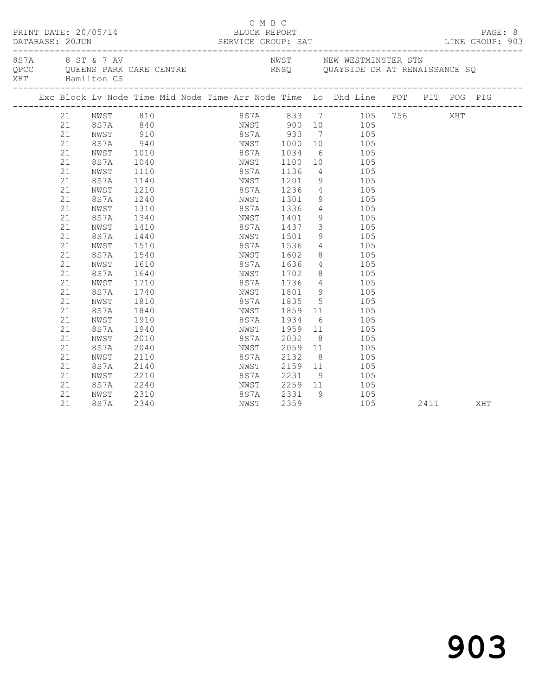|  | DATABASE: 20JUN | PRINT DATE: 20/05/14 |                                   | BLOCK REPORT |         | C M B C |                        |                                      | DATABASE: 20JUN SERVICE GROUP: SAT LINE GROUP: 903                                              |  |      | PAGE: 8 |
|--|-----------------|----------------------|-----------------------------------|--------------|---------|---------|------------------------|--------------------------------------|-------------------------------------------------------------------------------------------------|--|------|---------|
|  |                 | XHT Hamilton CS      | 8 S 7 AV 8 S T & 7 AV             |              |         |         |                        |                                      | NWST NEW WESTMINSTER STN<br>QPCC QUEENS PARK CARE CENTRE THE RNSQ QUAYSIDE DR AT RENAISSANCE SQ |  |      |         |
|  |                 |                      |                                   |              |         |         |                        |                                      | Exc Block Lv Node Time Mid Node Time Arr Node Time Lo Dhd Line POT PIT POG PIG                  |  |      |         |
|  |                 |                      | 21 NWST 810                       |              |         |         |                        |                                      | 8S7A 833 7 105 756                                                                              |  | XHT  |         |
|  | 21              |                      |                                   |              |         |         |                        |                                      | 8S7A 840 NWST 900 10 105                                                                        |  |      |         |
|  | 21              | ${\tt NWST}$         | NWST 910<br>8S7A 940<br>NWST 1010 |              |         |         |                        |                                      | 8S7A 933 7 105<br>NWST 1000 10 105                                                              |  |      |         |
|  | 21              |                      |                                   |              |         |         |                        |                                      |                                                                                                 |  |      |         |
|  | 21              |                      |                                   |              |         |         | 8S7A 1034              |                                      | 6 105                                                                                           |  |      |         |
|  | 21              | 8S7A                 | 1040                              |              |         |         |                        |                                      | NWST 1100 10 105                                                                                |  |      |         |
|  | 21              | NWST                 | 1110                              |              | 8S7A    |         | 1136                   |                                      | 4 105                                                                                           |  |      |         |
|  | 21              | 8S7A                 | 1140                              |              |         |         | NWST 1201<br>8S7A 1236 |                                      | $\begin{array}{ccc} 9 & & 105 \\ 4 & & 105 \end{array}$                                         |  |      |         |
|  | 21              | NWST                 | 1210                              |              |         |         |                        |                                      |                                                                                                 |  |      |         |
|  | 21              | 8S7A                 | 1240                              |              |         |         | NWST 1301              |                                      | 9 105                                                                                           |  |      |         |
|  | 21              | NWST                 | 1310                              |              | 8S7A    |         | 1336                   |                                      | 4 105                                                                                           |  |      |         |
|  | 21              | 8S7A                 | 1340                              |              | NWST    |         | 1401                   |                                      | 9 105                                                                                           |  |      |         |
|  | 21              | NWST                 | 1410                              |              | 8S7A    |         | 1437<br>1501           |                                      | $\begin{array}{ccc} 3 & 105 \\ 9 & 105 \end{array}$                                             |  |      |         |
|  | 21              | 8S7A                 | 1440                              |              | NWST    |         |                        |                                      |                                                                                                 |  |      |         |
|  | 21              | NWST                 | 1510                              |              |         |         | 8S7A 1536              |                                      | 4 105                                                                                           |  |      |         |
|  | 21              | 8S7A                 | 1540                              |              |         |         | NWST 1602              |                                      | 8 105                                                                                           |  |      |         |
|  | 21              | NWST                 | 1610                              |              | 8 S 7 A |         | 1636<br>1702           |                                      | $4 \t105$                                                                                       |  |      |         |
|  | 21              | 8S7A                 | 1640                              |              | NWST    |         |                        |                                      | $\begin{array}{ccc} 8 & \hspace{1.5cm} 105 \\ 4 & \hspace{1.5cm} 105 \end{array}$               |  |      |         |
|  | 21              | NWST                 | 1710                              |              | 8S7A    |         | 1736                   |                                      |                                                                                                 |  |      |         |
|  | 21              | 8S7A                 | 1740                              |              |         |         | NWST 1801              |                                      | 9 105                                                                                           |  |      |         |
|  | 21              | NWST                 | 1810                              |              | 8 S 7 A |         | 1835                   |                                      | 5 105                                                                                           |  |      |         |
|  | 21              | 8S7A                 | 1840                              |              | NWST    |         | 1859<br>1934           | $\begin{array}{c} 11 \\ \end{array}$ | 105                                                                                             |  |      |         |
|  | 21              | NWST                 | 1910                              |              | 8S7A    |         |                        | $6\overline{6}$                      | 105                                                                                             |  |      |         |
|  | 21              | 8S7A                 | 1940                              |              | NWST    |         | 1959                   |                                      | 11 105                                                                                          |  |      |         |
|  | 21              | NWST                 | 2010                              |              | 8 S 7 A |         | 2032                   |                                      | $8 \overline{)}$<br>105                                                                         |  |      |         |
|  | 21              | 8S7A                 | 2040                              |              | NWST    |         | 2059                   |                                      | 11<br>105                                                                                       |  |      |         |
|  | 21              | NWST                 | 2110                              |              | 8 S 7 A |         | 2132                   |                                      | $\begin{array}{c} 8 \\ 11 \end{array}$<br>105                                                   |  |      |         |
|  | 21              | 8S7A                 | 2140                              |              | NWST    |         | 2159                   |                                      | 105                                                                                             |  |      |         |
|  | 21              | NWST                 | 2210                              |              | 8S7A    |         | 2231                   |                                      | 9 105                                                                                           |  |      |         |
|  | 21              | 8S7A                 | 2240                              |              |         |         |                        |                                      | NWST 2259 11 105                                                                                |  |      |         |
|  | 21              | NWST                 | 2310                              |              | 8 S 7 A |         | 2331                   | 9                                    | 105                                                                                             |  |      |         |
|  | 21              | 8S7A                 | 2340                              |              | NWST    |         | 2359                   |                                      | 105                                                                                             |  | 2411 | XHT     |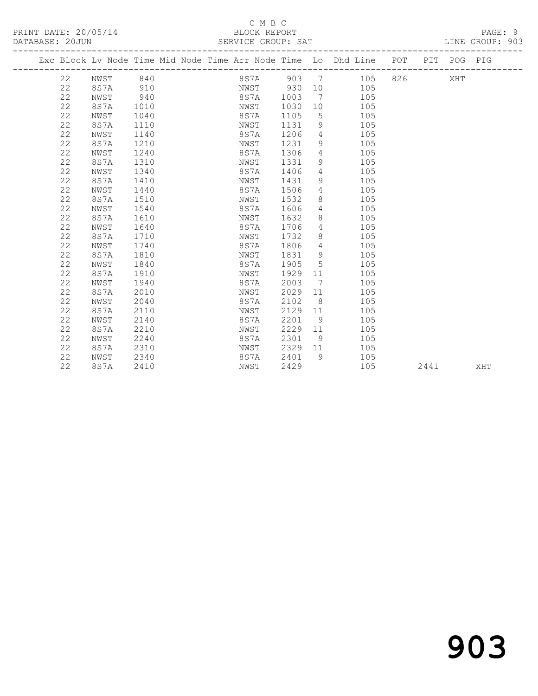### C M B C<br>BLOCK REPORT SERVICE GROUP: SAT

|  |    |      |      |  |         |      |                | Exc Block Lv Node Time Mid Node Time Arr Node Time Lo Dhd Line POT |     | PIT POG PIG |  |
|--|----|------|------|--|---------|------|----------------|--------------------------------------------------------------------|-----|-------------|--|
|  | 22 | NWST | 840  |  | 8 S 7 A | 903  | $\overline{7}$ | 105                                                                | 826 | XHT         |  |
|  | 22 | 8S7A | 910  |  | NWST    | 930  | 10             | 105                                                                |     |             |  |
|  | 22 | NWST | 940  |  | 8S7A    | 1003 | 7              | 105                                                                |     |             |  |
|  | 22 | 8S7A | 1010 |  | NWST    | 1030 | 10             | 105                                                                |     |             |  |
|  | 22 | NWST | 1040 |  | 8S7A    | 1105 | 5              | 105                                                                |     |             |  |
|  | 22 | 8S7A | 1110 |  | NWST    | 1131 | 9              | 105                                                                |     |             |  |
|  | 22 | NWST | 1140 |  | 8S7A    | 1206 | 4              | 105                                                                |     |             |  |
|  | 22 | 8S7A | 1210 |  | NWST    | 1231 | 9              | 105                                                                |     |             |  |
|  | 22 | NWST | 1240 |  | 8S7A    | 1306 | $\overline{4}$ | 105                                                                |     |             |  |
|  | 22 | 8S7A | 1310 |  | NWST    | 1331 | 9              | 105                                                                |     |             |  |
|  | 22 | NWST | 1340 |  | 8S7A    | 1406 | 4              | 105                                                                |     |             |  |
|  | 22 | 8S7A | 1410 |  | NWST    | 1431 | 9              | 105                                                                |     |             |  |
|  | 22 | NWST | 1440 |  | 8S7A    | 1506 | 4              | 105                                                                |     |             |  |
|  | 22 | 8S7A | 1510 |  | NWST    | 1532 | 8              | 105                                                                |     |             |  |
|  | 22 | NWST | 1540 |  | 8S7A    | 1606 | 4              | 105                                                                |     |             |  |
|  | 22 | 8S7A | 1610 |  | NWST    | 1632 | 8              | 105                                                                |     |             |  |
|  | 22 | NWST | 1640 |  | 8S7A    | 1706 | 4              | 105                                                                |     |             |  |
|  | 22 | 8S7A | 1710 |  | NWST    | 1732 | 8              | 105                                                                |     |             |  |
|  | 22 | NWST | 1740 |  | 8S7A    | 1806 | 4              | 105                                                                |     |             |  |
|  | 22 | 8S7A | 1810 |  | NWST    | 1831 | 9              | 105                                                                |     |             |  |
|  | 22 | NWST | 1840 |  | 8S7A    | 1905 | 5              | 105                                                                |     |             |  |
|  | 22 | 8S7A | 1910 |  | NWST    | 1929 | 11             | 105                                                                |     |             |  |
|  | 22 | NWST | 1940 |  | 8S7A    | 2003 | 7              | 105                                                                |     |             |  |
|  | 22 | 8S7A | 2010 |  | NWST    | 2029 | 11             | 105                                                                |     |             |  |
|  | 22 | NWST | 2040 |  | 8S7A    | 2102 | 8              | 105                                                                |     |             |  |
|  | 22 | 8S7A | 2110 |  | NWST    | 2129 | 11             | 105                                                                |     |             |  |
|  | 22 | NWST | 2140 |  | 8S7A    | 2201 | 9              | 105                                                                |     |             |  |
|  | 22 | 8S7A | 2210 |  | NWST    | 2229 | 11             | 105                                                                |     |             |  |
|  | 22 | NWST | 2240 |  | 8S7A    | 2301 | 9              | 105                                                                |     |             |  |
|  | 22 | 8S7A | 2310 |  | NWST    | 2329 | 11             | 105                                                                |     |             |  |
|  | 22 | NWST | 2340 |  | 8S7A    | 2401 | 9              | 105                                                                |     |             |  |

22 8S7A 2410 NWST 2429 105 2441 XHT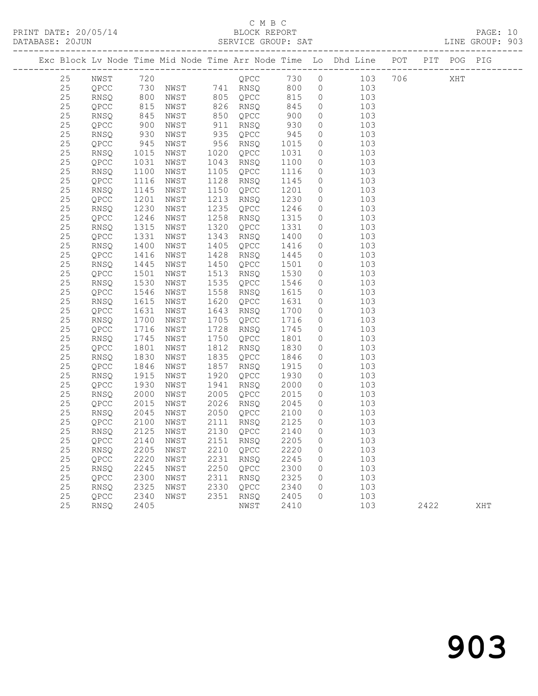|                      | C M B C            |                 |
|----------------------|--------------------|-----------------|
| PRINT DATE: 20/05/14 | BLOCK REPORT       | PAGE: 10        |
| DATABASE: 20JUN      | SERVICE GROUP: SAT | LINE GROUP: 903 |

|  |          |                |                   |              |      |                   |              |                | Exc Block Lv Node Time Mid Node Time Arr Node Time Lo Dhd Line POT PIT POG PIG |      |     |     |
|--|----------|----------------|-------------------|--------------|------|-------------------|--------------|----------------|--------------------------------------------------------------------------------|------|-----|-----|
|  | 25       |                |                   |              |      |                   |              |                |                                                                                |      | XHT |     |
|  | 25       |                |                   |              |      |                   |              |                |                                                                                |      |     |     |
|  | 25       |                |                   |              |      |                   |              |                |                                                                                |      |     |     |
|  | 25       | QPCC           | 815<br>845<br>900 | NWST         |      | 826 RNSQ          | 845          | $\circ$        | 103                                                                            |      |     |     |
|  | 25       | RNSQ           |                   | NWST         |      | 850 QPCC          | 900          | $\circ$        | 103                                                                            |      |     |     |
|  | $2\,5$   | QPCC           |                   | NWST         | 911  | RNSQ              | 930          | $\circ$        | 103                                                                            |      |     |     |
|  | 25       | RNSQ           | 930               | NWST         | 935  | QPCC              | 945          | $\circ$        | 103                                                                            |      |     |     |
|  | $2\,5$   | QPCC           | 945               | NWST         |      | 956 RNSQ          | 1015         | $\circ$        | 103                                                                            |      |     |     |
|  | 25       | RNSQ           | 1015              | NWST         | 1020 | QPCC              | 1031         | $\circ$        | 103                                                                            |      |     |     |
|  | $25\,$   | QPCC           | 1031              | NWST         | 1043 | RNSQ              | 1100         | $\circ$        | 103                                                                            |      |     |     |
|  | 25       | RNSQ           | 1100              | NWST         | 1105 | QPCC              | 1116         | $\overline{0}$ | 103                                                                            |      |     |     |
|  | $25\,$   | QPCC           | 1116              | NWST         | 1128 | RNSQ              | 1145         | $\circ$        | 103                                                                            |      |     |     |
|  | 25       | RNSQ           | 1145              | NWST         | 1150 | QPCC              | 1201         | $\circ$        | 103                                                                            |      |     |     |
|  | $25\,$   | QPCC           | 1201              | NWST         | 1213 | RNSQ              | 1230         | $\circ$        | 103                                                                            |      |     |     |
|  | 25       | RNSQ           | 1230              | NWST         | 1235 | QPCC              | 1246         | $\circ$        | 103                                                                            |      |     |     |
|  | 25       | QPCC           | 1246              | NWST         | 1258 | RNSQ              | 1315         | $\circ$        | 103                                                                            |      |     |     |
|  | 25       | RNSQ           | 1315              | NWST         | 1320 | QPCC              | 1331         | $\circ$        | 103                                                                            |      |     |     |
|  | 25       | QPCC           | 1331              | NWST         | 1343 | RNSQ              | 1400         | $\circ$        | 103                                                                            |      |     |     |
|  | 25       | RNSQ           | 1400              | NWST         | 1405 | QPCC              | 1416         | $\circ$        | 103                                                                            |      |     |     |
|  | 25       | QPCC           | 1416              | NWST         | 1428 | RNSQ              | 1445         | $\circ$        | 103                                                                            |      |     |     |
|  | 25       | RNSQ           | 1445              | NWST         | 1450 | QPCC              | 1501         | $\circ$        | 103                                                                            |      |     |     |
|  | 25       | QPCC           | 1501              | NWST         | 1513 | RNSQ              | 1530         | $\circ$        | 103                                                                            |      |     |     |
|  | $2\,5$   | RNSQ           | 1530              | NWST         | 1535 | QPCC              | 1546         | $\circ$        | 103                                                                            |      |     |     |
|  | 25       | QPCC           | 1546              | NWST         | 1558 | RNSQ              | 1615         | $\circ$        | 103                                                                            |      |     |     |
|  | $25\,$   | RNSQ           | 1615              | NWST         | 1620 | QPCC              | 1631         | $\circ$        | 103                                                                            |      |     |     |
|  | 25       | QPCC           | 1631              | NWST         | 1643 | RNSQ              | 1700         | $\circ$        | 103                                                                            |      |     |     |
|  | 25       | RNSQ           | 1700              | NWST         | 1705 | QPCC              | 1716         | $\overline{0}$ | 103                                                                            |      |     |     |
|  | 25       | QPCC           | 1716              | NWST         | 1728 | RNSQ              | 1745         | $\overline{0}$ | 103                                                                            |      |     |     |
|  | $25\,$   | RNSQ           | 1745              | NWST         | 1750 | QPCC              | 1801         | $\circ$        | 103                                                                            |      |     |     |
|  | 25       | QPCC           | 1801              | NWST         | 1812 | RNSQ              | 1830         | $\circ$        | 103                                                                            |      |     |     |
|  | $2\,5$   | RNSQ           | 1830              | NWST         | 1835 | QPCC              | 1846         | $\circ$        | 103                                                                            |      |     |     |
|  | 25       | QPCC           | 1846              | NWST         | 1857 | RNSQ              | 1915         | $\circ$        | 103                                                                            |      |     |     |
|  | $25\,$   | RNSQ           | 1915              | NWST         | 1920 | QPCC              | 1930         | $\circ$        | 103                                                                            |      |     |     |
|  | 25       | QPCC           | 1930              | NWST         | 1941 | RNSQ              | 2000         | $\circ$        | 103                                                                            |      |     |     |
|  | $25\,$   | RNSQ           | 2000              | NWST         | 2005 | QPCC              | 2015         | $\circ$        | 103                                                                            |      |     |     |
|  | 25       | QPCC           | 2015              | NWST         | 2026 | RNSQ              | 2045         | $\overline{0}$ | 103                                                                            |      |     |     |
|  | $25\,$   | RNSQ           | 2045              | NWST         | 2050 | QPCC 2100         |              | $\overline{0}$ | 103                                                                            |      |     |     |
|  | 25       | QPCC           | 2100              | NWST         | 2111 | RNSQ              | 2125<br>2140 | $\overline{0}$ | 103                                                                            |      |     |     |
|  | 25       | RNSQ           | 2125              | NWST         |      | 2130 QPCC         |              | $\overline{0}$ | 103                                                                            |      |     |     |
|  | 25       | QPCC 2140 NWST |                   |              |      | 2151 RNSQ 2205 0  |              |                | 103                                                                            |      |     |     |
|  | 25       | RNSQ           | 2205              | NWST         |      | 2210 QPCC         | 2220         | 0              | 103                                                                            |      |     |     |
|  | 25<br>25 | QPCC<br>RNSQ   | 2220<br>2245      | NWST         | 2231 | RNSQ<br>2250 QPCC | 2245<br>2300 | 0              | 103<br>103                                                                     |      |     |     |
|  | 25       |                | 2300              | NWST         | 2311 |                   | 2325         | 0              | 103                                                                            |      |     |     |
|  | 25       | QPCC<br>RNSQ   | 2325              | NWST<br>NWST | 2330 | RNSQ<br>QPCC      | 2340         | 0<br>0         | 103                                                                            |      |     |     |
|  | 25       |                | 2340              |              | 2351 |                   | 2405         | 0              | 103                                                                            |      |     |     |
|  | 25       | QPCC<br>RNSQ   | 2405              | NWST         |      | RNSQ<br>NWST      | 2410         |                | 103                                                                            | 2422 |     | XHT |
|  |          |                |                   |              |      |                   |              |                |                                                                                |      |     |     |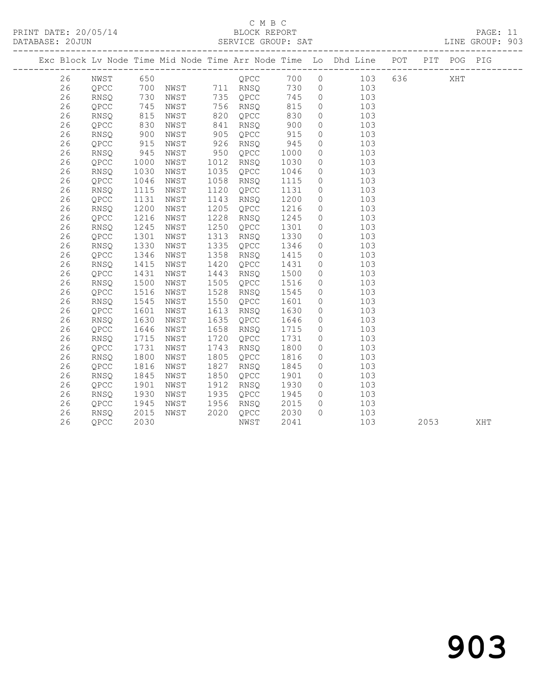## C M B C<br>BLOCK REPORT

PAGE: 11<br>LINE GROUP: 903

|  |    |             |                          |      |      |                   |      |                | Exc Block Lv Node Time Mid Node Time Arr Node Time Lo Dhd Line POT PIT POG PIG |       |      |     |     |
|--|----|-------------|--------------------------|------|------|-------------------|------|----------------|--------------------------------------------------------------------------------|-------|------|-----|-----|
|  | 26 | NWST        | 650                      |      |      | <b>OPCC</b>       | 700  |                | $0$ 103                                                                        | 636 7 |      | XHT |     |
|  | 26 | QPCC        |                          |      |      | 700 NWST 711 RNSQ | 730  |                | $0$ 103                                                                        |       |      |     |     |
|  | 26 | RNSQ        | 730<br>730<br>745<br>815 | NWST |      | 735 QPCC          | 745  | $\overline{0}$ | 103                                                                            |       |      |     |     |
|  | 26 | QPCC        |                          | NWST |      | 756 RNSQ          | 815  | $\circ$        | 103                                                                            |       |      |     |     |
|  | 26 | RNSQ        |                          | NWST | 820  | QPCC              | 830  | $\circ$        | 103                                                                            |       |      |     |     |
|  | 26 | QPCC        | 830                      | NWST | 841  | RNSO              | 900  | $\circ$        | 103                                                                            |       |      |     |     |
|  | 26 | RNSQ        | 900                      | NWST | 905  | QPCC              | 915  | $\circ$        | 103                                                                            |       |      |     |     |
|  | 26 | QPCC        | 915                      | NWST | 926  | RNSQ              | 945  | $\circ$        | 103                                                                            |       |      |     |     |
|  | 26 | <b>RNSQ</b> | 945                      | NWST | 950  | QPCC              | 1000 | $\circ$        | 103                                                                            |       |      |     |     |
|  | 26 | QPCC        | 1000                     | NWST | 1012 | RNSQ              | 1030 | $\circ$        | 103                                                                            |       |      |     |     |
|  | 26 | <b>RNSO</b> | 1030                     | NWST | 1035 | QPCC              | 1046 | $\circ$        | 103                                                                            |       |      |     |     |
|  | 26 | QPCC        | 1046                     | NWST | 1058 | RNSQ              | 1115 | $\circ$        | 103                                                                            |       |      |     |     |
|  | 26 | RNSQ        | 1115                     | NWST | 1120 | QPCC              | 1131 | $\circ$        | 103                                                                            |       |      |     |     |
|  | 26 | QPCC        | 1131                     | NWST | 1143 | RNSQ              | 1200 | $\circ$        | 103                                                                            |       |      |     |     |
|  | 26 | RNSQ        | 1200                     | NWST | 1205 | QPCC              | 1216 | $\circ$        | 103                                                                            |       |      |     |     |
|  | 26 | QPCC        | 1216                     | NWST | 1228 | RNSO              | 1245 | $\circ$        | 103                                                                            |       |      |     |     |
|  | 26 | RNSQ        | 1245                     | NWST | 1250 | QPCC              | 1301 | $\circ$        | 103                                                                            |       |      |     |     |
|  | 26 | QPCC        | 1301                     | NWST | 1313 | RNSQ              | 1330 | $\circ$        | 103                                                                            |       |      |     |     |
|  | 26 | RNSQ        | 1330                     | NWST | 1335 | QPCC              | 1346 | $\circ$        | 103                                                                            |       |      |     |     |
|  | 26 | QPCC        | 1346                     | NWST | 1358 | RNSQ              | 1415 | $\circ$        | 103                                                                            |       |      |     |     |
|  | 26 | RNSQ        | 1415                     | NWST | 1420 | QPCC              | 1431 | $\circ$        | 103                                                                            |       |      |     |     |
|  | 26 | QPCC        | 1431                     | NWST | 1443 | RNSQ              | 1500 | $\circ$        | 103                                                                            |       |      |     |     |
|  | 26 | RNSQ        | 1500                     | NWST | 1505 | QPCC              | 1516 | $\circ$        | 103                                                                            |       |      |     |     |
|  | 26 | QPCC        | 1516                     | NWST | 1528 | RNSQ              | 1545 | $\circ$        | 103                                                                            |       |      |     |     |
|  | 26 | RNSQ        | 1545                     | NWST | 1550 | QPCC              | 1601 | $\circ$        | 103                                                                            |       |      |     |     |
|  | 26 | QPCC        | 1601                     | NWST | 1613 | RNSQ              | 1630 | $\circ$        | 103                                                                            |       |      |     |     |
|  | 26 | RNSQ        | 1630                     | NWST | 1635 | QPCC              | 1646 | $\circ$        | 103                                                                            |       |      |     |     |
|  | 26 | QPCC        | 1646                     | NWST | 1658 | RNSQ              | 1715 | $\circ$        | 103                                                                            |       |      |     |     |
|  | 26 | <b>RNSO</b> | 1715                     | NWST | 1720 | QPCC              | 1731 | $\circ$        | 103                                                                            |       |      |     |     |
|  | 26 | QPCC        | 1731                     | NWST | 1743 | RNSQ              | 1800 | $\circ$        | 103                                                                            |       |      |     |     |
|  | 26 | RNSQ        | 1800                     | NWST | 1805 | QPCC              | 1816 | $\circ$        | 103                                                                            |       |      |     |     |
|  | 26 | QPCC        | 1816                     | NWST | 1827 | RNSQ              | 1845 | $\circ$        | 103                                                                            |       |      |     |     |
|  | 26 | RNSQ        | 1845                     | NWST | 1850 | QPCC              | 1901 | $\circ$        | 103                                                                            |       |      |     |     |
|  | 26 | QPCC        | 1901                     | NWST | 1912 | RNSO              | 1930 | $\circ$        | 103                                                                            |       |      |     |     |
|  | 26 | RNSQ        | 1930                     | NWST | 1935 | QPCC              | 1945 | $\circ$        | 103                                                                            |       |      |     |     |
|  | 26 | QPCC        | 1945                     | NWST | 1956 | RNSO              | 2015 | $\circ$        | 103                                                                            |       |      |     |     |
|  | 26 | RNSQ        | 2015                     | NWST | 2020 | QPCC              | 2030 | $\Omega$       | 103                                                                            |       |      |     |     |
|  | 26 | QPCC        | 2030                     |      |      | NWST              | 2041 |                | 103                                                                            |       | 2053 |     | XHT |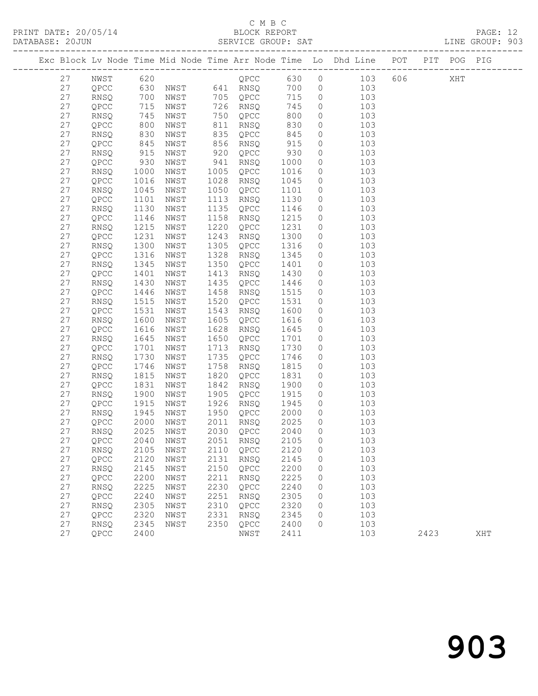PRINT DATE: 20/05/14 BLOCK REPORT<br>DATABASE: 20JUN SERVICE GROUP: SAT

## C M B C<br>BLOCK REPORT

PAGE: 12<br>LINE GROUP: 903

|  |    |             |            |                                                             |      |           |      |          | Exc Block Lv Node Time Mid Node Time Arr Node Time Lo Dhd Line POT PIT POG PIG |        |      |     |     |
|--|----|-------------|------------|-------------------------------------------------------------|------|-----------|------|----------|--------------------------------------------------------------------------------|--------|------|-----|-----|
|  | 27 | NWST        | 620        |                                                             |      |           |      |          | QPCC 630 0 103                                                                 | 606 00 |      | XHT |     |
|  | 27 | QPCC        |            |                                                             |      |           | 700  |          | $0$ 103                                                                        |        |      |     |     |
|  | 27 | RNSQ        |            |                                                             |      |           | 715  | $\circ$  | 103                                                                            |        |      |     |     |
|  | 27 | QPCC        |            | 630 NWST 641 RNSQ<br>700 NWST 705 QPCC<br>715 NWST 726 RNSO |      |           | 745  | $\circ$  | 103                                                                            |        |      |     |     |
|  | 27 | RNSQ        | 745        | NWST                                                        |      | 750 QPCC  | 800  | $\circ$  | 103                                                                            |        |      |     |     |
|  | 27 | QPCC        | 800        | NWST                                                        | 811  | RNSQ      | 830  | $\circ$  | 103                                                                            |        |      |     |     |
|  | 27 | RNSQ        |            | NWST                                                        | 835  | QPCC      | 845  | $\circ$  | 103                                                                            |        |      |     |     |
|  | 27 | QPCC        | 830<br>845 | NWST                                                        | 856  | RNSQ      | 915  | $\circ$  | 103                                                                            |        |      |     |     |
|  | 27 | RNSQ        | 915        | NWST                                                        | 920  | QPCC      | 930  | $\circ$  | 103                                                                            |        |      |     |     |
|  | 27 | QPCC        | 930        | NWST                                                        | 941  | RNSQ      | 1000 | $\circ$  | 103                                                                            |        |      |     |     |
|  | 27 | RNSQ        | 1000       | NWST                                                        | 1005 | QPCC      | 1016 | $\circ$  | 103                                                                            |        |      |     |     |
|  | 27 | QPCC        | 1016       | NWST                                                        | 1028 | RNSQ      | 1045 | $\circ$  | 103                                                                            |        |      |     |     |
|  | 27 | RNSQ        | 1045       | NWST                                                        | 1050 | QPCC      | 1101 | $\circ$  | 103                                                                            |        |      |     |     |
|  | 27 | QPCC        | 1101       | NWST                                                        | 1113 | RNSQ      | 1130 | $\circ$  | 103                                                                            |        |      |     |     |
|  | 27 | RNSQ        | 1130       | NWST                                                        | 1135 | QPCC      | 1146 | $\circ$  | 103                                                                            |        |      |     |     |
|  | 27 | QPCC        | 1146       | NWST                                                        | 1158 | RNSQ      | 1215 | $\circ$  | 103                                                                            |        |      |     |     |
|  | 27 | RNSQ        | 1215       | NWST                                                        | 1220 | QPCC      | 1231 | $\circ$  | 103                                                                            |        |      |     |     |
|  | 27 | QPCC        | 1231       | NWST                                                        | 1243 | RNSQ      | 1300 | $\circ$  | 103                                                                            |        |      |     |     |
|  | 27 | <b>RNSQ</b> | 1300       | NWST                                                        | 1305 | QPCC      | 1316 | $\circ$  | 103                                                                            |        |      |     |     |
|  | 27 | QPCC        | 1316       | NWST                                                        | 1328 | RNSQ      | 1345 | $\circ$  | 103                                                                            |        |      |     |     |
|  | 27 | RNSQ        | 1345       | NWST                                                        | 1350 | QPCC      | 1401 | $\circ$  | 103                                                                            |        |      |     |     |
|  | 27 | QPCC        | 1401       | NWST                                                        | 1413 | RNSQ      | 1430 | $\circ$  | 103                                                                            |        |      |     |     |
|  | 27 | RNSQ        | 1430       | NWST                                                        | 1435 | QPCC      | 1446 | $\circ$  | 103                                                                            |        |      |     |     |
|  | 27 | QPCC        | 1446       | NWST                                                        | 1458 | RNSQ      | 1515 | $\circ$  | 103                                                                            |        |      |     |     |
|  | 27 | RNSQ        | 1515       | NWST                                                        | 1520 | QPCC      | 1531 | $\circ$  | 103                                                                            |        |      |     |     |
|  | 27 | QPCC        | 1531       | NWST                                                        | 1543 | RNSQ      | 1600 | $\circ$  | 103                                                                            |        |      |     |     |
|  | 27 | RNSQ        | 1600       | NWST                                                        | 1605 | QPCC      | 1616 | $\circ$  | 103                                                                            |        |      |     |     |
|  | 27 | QPCC        | 1616       | NWST                                                        | 1628 | RNSQ      | 1645 | $\circ$  | 103                                                                            |        |      |     |     |
|  | 27 | RNSQ        | 1645       | NWST                                                        | 1650 | QPCC      | 1701 | $\circ$  | 103                                                                            |        |      |     |     |
|  | 27 | QPCC        | 1701       | NWST                                                        | 1713 | RNSQ      | 1730 | $\circ$  | 103                                                                            |        |      |     |     |
|  | 27 | RNSQ        | 1730       | NWST                                                        | 1735 | QPCC      | 1746 | $\circ$  | 103                                                                            |        |      |     |     |
|  | 27 | QPCC        | 1746       | NWST                                                        | 1758 | RNSQ      | 1815 | $\circ$  | 103                                                                            |        |      |     |     |
|  | 27 | RNSQ        | 1815       | NWST                                                        | 1820 | QPCC      | 1831 | $\circ$  | 103                                                                            |        |      |     |     |
|  | 27 | QPCC        | 1831       | NWST                                                        | 1842 | RNSQ      | 1900 | $\circ$  | 103                                                                            |        |      |     |     |
|  | 27 | RNSQ        | 1900       | NWST                                                        | 1905 | QPCC      | 1915 | $\circ$  | 103                                                                            |        |      |     |     |
|  | 27 | QPCC        | 1915       | NWST                                                        | 1926 | RNSQ      | 1945 | $\circ$  | 103                                                                            |        |      |     |     |
|  | 27 | RNSQ        | 1945       | NWST                                                        | 1950 | QPCC      | 2000 | $\circ$  | 103                                                                            |        |      |     |     |
|  | 27 | QPCC        | 2000       | NWST                                                        | 2011 | RNSQ      | 2025 | $\circ$  | 103                                                                            |        |      |     |     |
|  | 27 | RNSQ        | 2025       | NWST                                                        |      | 2030 QPCC | 2040 | $\Omega$ | 103                                                                            |        |      |     |     |
|  | 27 | QPCC        |            | 2040 NWST 2051 RNSQ 2105 0                                  |      |           |      |          | 103                                                                            |        |      |     |     |
|  | 27 | RNSQ        | 2105       | NWST                                                        | 2110 | QPCC      | 2120 | 0        | 103                                                                            |        |      |     |     |
|  | 27 | QPCC        | 2120       | NWST                                                        | 2131 | RNSQ      | 2145 | 0        | 103                                                                            |        |      |     |     |
|  | 27 | RNSQ        | 2145       | NWST                                                        | 2150 | QPCC      | 2200 | 0        | 103                                                                            |        |      |     |     |
|  | 27 | QPCC        | 2200       | NWST                                                        | 2211 | RNSQ      | 2225 | 0        | 103                                                                            |        |      |     |     |
|  | 27 | RNSQ        | 2225       | NWST                                                        | 2230 | QPCC      | 2240 | 0        | 103                                                                            |        |      |     |     |
|  | 27 | QPCC        | 2240       | NWST                                                        | 2251 | RNSQ      | 2305 | 0        | 103                                                                            |        |      |     |     |
|  | 27 | RNSQ        | 2305       | NWST                                                        | 2310 | QPCC      | 2320 | 0        | 103                                                                            |        |      |     |     |
|  | 27 | QPCC        | 2320       | NWST                                                        | 2331 | RNSQ      | 2345 | 0        | 103                                                                            |        |      |     |     |
|  | 27 | <b>RNSQ</b> | 2345       | NWST                                                        | 2350 | QPCC      | 2400 | 0        | 103                                                                            |        |      |     |     |
|  | 27 | QPCC        | 2400       |                                                             |      | NWST      | 2411 |          | 103                                                                            |        | 2423 |     | XHT |
|  |    |             |            |                                                             |      |           |      |          |                                                                                |        |      |     |     |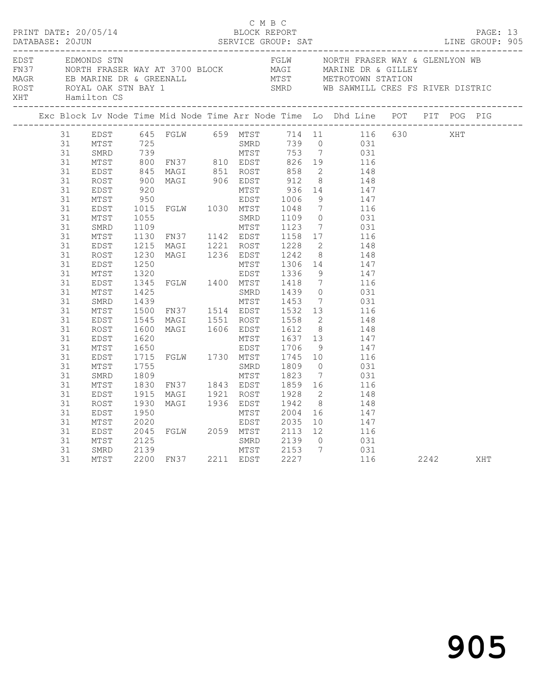|  |                                                                                                                                              |                                                                                                      |                                                                              |                                                                                                                            |                                                  |                                                       |                                                            |                                                                                                                                                                                                                                                                                                                                                                                                                                                                                 |  | PAGE: 13<br>LINE GROUP: 905 |  |
|--|----------------------------------------------------------------------------------------------------------------------------------------------|------------------------------------------------------------------------------------------------------|------------------------------------------------------------------------------|----------------------------------------------------------------------------------------------------------------------------|--------------------------------------------------|-------------------------------------------------------|------------------------------------------------------------|---------------------------------------------------------------------------------------------------------------------------------------------------------------------------------------------------------------------------------------------------------------------------------------------------------------------------------------------------------------------------------------------------------------------------------------------------------------------------------|--|-----------------------------|--|
|  |                                                                                                                                              | XHT Hamilton CS                                                                                      |                                                                              |                                                                                                                            |                                                  |                                                       |                                                            | EDST EDMONDS STN<br>FN37 NORTH FRASER WAY AT 3700 BLOCK MAGI MARINE DR & GLENLYON WB<br>MAGR EB MARINE DR & GREENALL MIST METROTOWN STATION<br>ROST ROYAL OAK STN BAY 1 SMRD WB SAWMILL CRES FS RIVER DISTRIC                                                                                                                                                                                                                                                                   |  |                             |  |
|  |                                                                                                                                              |                                                                                                      |                                                                              |                                                                                                                            |                                                  |                                                       |                                                            | Exc Block Lv Node Time Mid Node Time Arr Node Time Lo Dhd Line POT PIT POG PIG                                                                                                                                                                                                                                                                                                                                                                                                  |  |                             |  |
|  | 31<br>31<br>31<br>31<br>31<br>31<br>31<br>31<br>31<br>31<br>31<br>31<br>31<br>31<br>31<br>31<br>31<br>31<br>31<br>31<br>31<br>31<br>31<br>31 | MTST<br>EDST<br>ROST<br>EDST<br>MTST<br>EDST<br>MTST<br>SMRD<br>MTST<br>EDST<br>ROST<br>EDST<br>MTST | 1130<br>1215<br>1230<br>1250<br>1320<br>1545<br>1600<br>1600<br>1620<br>1650 | 1320<br>1345 FGLW 1400 MTST 1418<br>1425 SMRD 1439<br>MAGI 1551 ROST 1558<br>MAGI 1606 EDST 1612<br>MTST 1637<br>EDST 1706 | EDST 1336                                        | $\begin{bmatrix} 1637 & 13 \\ 1706 & 9 \end{bmatrix}$ | - 9<br>$7\overline{ }$<br>$\overline{0}$<br>8 <sup>8</sup> | EDST 645 FGLW 659 MTST 725<br>MTST 725 FGLW 659 MTST 714 11 116 630 XHT<br>MTST 725 SMRD 739 0 031<br>MTST 800 FN37 810 EDST 826 19 116<br>EDST 845 MAGI 851 ROST 858 2 148<br>ROST 900 MAGI 906 EDST 912 8 148<br>ROST 900 MAGI 906 EDST<br>FN37 1142 EDST 1158 17 116<br>MAGI 1221 ROST 1228 2 148<br>MAGI 1236 EDST 1242 8 148<br>MTST 1306 14 147<br>147<br>116<br>031<br>1439 MTST 1453 7 031<br>1500 FN37 1514 EDST 1532 13 116<br>$\frac{2}{2}$ 148<br>148<br>147<br>147 |  |                             |  |
|  | 31<br>31<br>31<br>31<br>31<br>31<br>31<br>31<br>31<br>31                                                                                     | EDST<br>MTST<br>SMRD<br>MTST<br>EDST<br>ROST<br>EDST<br>MTST<br>EDST<br>MTST                         | 1755<br>1809<br>1830<br>1915<br>1930<br>2125                                 | 1715 FGLW 1730 MTST 1745 10<br>2004 16<br>2045 FGLW 2059 MTST 2035 10<br>2125 SMRD 2139 0<br>2139 MTST 2170 0<br>2200 FM27 | SMRD<br>MTST<br>MAGI 1936 EDST 1942<br>MTST 2004 | 1809<br>1823                                          | $\overline{0}$                                             | 116<br>031<br>7 031<br>FN37 1843 EDST 1859 16 116<br>MAGI 1921 ROST 1928 2 148<br>8 148<br>147<br>10 147<br>116<br>031                                                                                                                                                                                                                                                                                                                                                          |  |                             |  |
|  | 31<br>31                                                                                                                                     | SMRD<br>MTST                                                                                         |                                                                              | 2200 FN37 2211 EDST                                                                                                        |                                                  |                                                       |                                                            | MTST 2153 7 031<br>EDST 2227 116 2242 XHT                                                                                                                                                                                                                                                                                                                                                                                                                                       |  |                             |  |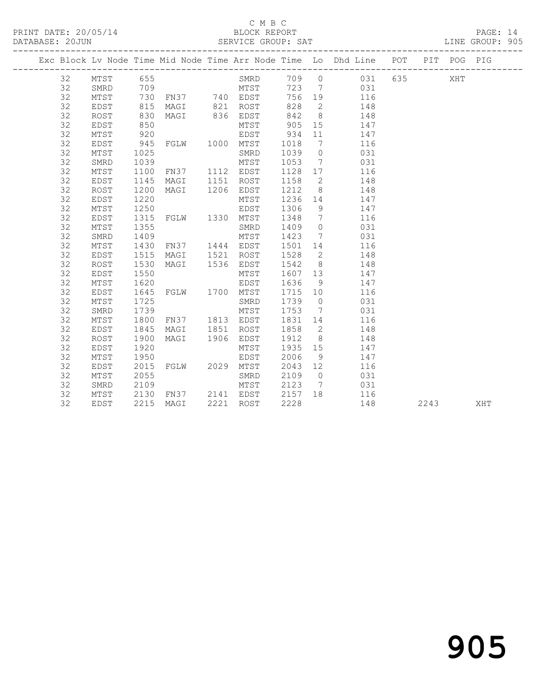### C M B C<br>BLOCK REPORT

PAGE: 14<br>LINE GROUP: 905

|  |    |             |      |                |      |           |      |                              | Exc Block Lv Node Time Mid Node Time Arr Node Time Lo Dhd Line POT PIT POG PIG |         |      |     |     |
|--|----|-------------|------|----------------|------|-----------|------|------------------------------|--------------------------------------------------------------------------------|---------|------|-----|-----|
|  | 32 | MTST        | 655  |                |      | SMRD      |      |                              | 709 0 031                                                                      | 635 000 |      | XHT |     |
|  | 32 | SMRD        | 709  |                |      | MTST      |      |                              | 723 7 031                                                                      |         |      |     |     |
|  | 32 | MTST        | 730  | FN37 740 EDST  |      |           | 756  |                              | 19 116                                                                         |         |      |     |     |
|  | 32 | EDST        | 815  | MAGI 821 ROST  |      |           | 828  |                              | $\overline{2}$<br>148                                                          |         |      |     |     |
|  | 32 | ROST        | 830  | MAGI           |      | 836 EDST  | 842  | 8 <sup>8</sup>               | 148                                                                            |         |      |     |     |
|  | 32 | EDST        | 850  |                |      | MTST      | 905  | 15                           | 147                                                                            |         |      |     |     |
|  | 32 | MTST        | 920  |                |      | EDST      | 934  | 11                           | 147                                                                            |         |      |     |     |
|  | 32 | EDST        | 945  | FGLW 1000 MTST |      |           | 1018 | $7\phantom{.0}\phantom{.0}7$ | 116                                                                            |         |      |     |     |
|  | 32 | MTST        | 1025 |                |      | SMRD      | 1039 | $\circ$                      | 031                                                                            |         |      |     |     |
|  | 32 | SMRD        | 1039 |                |      | MTST      | 1053 | $7\phantom{.0}\phantom{.0}7$ | 031                                                                            |         |      |     |     |
|  | 32 | MTST        | 1100 | FN37           |      | 1112 EDST | 1128 | 17                           | 116                                                                            |         |      |     |     |
|  | 32 | EDST        | 1145 | MAGI           | 1151 | ROST      | 1158 | $\overline{2}$               | 148                                                                            |         |      |     |     |
|  | 32 | ROST        | 1200 | MAGI           | 1206 | EDST      | 1212 | 8 <sup>8</sup>               | 148                                                                            |         |      |     |     |
|  | 32 | EDST        | 1220 |                |      | MTST      | 1236 | 14                           | 147                                                                            |         |      |     |     |
|  | 32 | MTST        | 1250 |                |      | EDST      | 1306 | 9                            | 147                                                                            |         |      |     |     |
|  | 32 | EDST        | 1315 | FGLW 1330 MTST |      |           | 1348 | $7\phantom{0}$               | 116                                                                            |         |      |     |     |
|  | 32 | MTST        | 1355 |                |      | SMRD      | 1409 | $\overline{0}$               | 031                                                                            |         |      |     |     |
|  | 32 | SMRD        | 1409 |                |      | MTST      | 1423 |                              | 7<br>031                                                                       |         |      |     |     |
|  | 32 | MTST        | 1430 | FN37           |      | 1444 EDST | 1501 | 14                           | 116                                                                            |         |      |     |     |
|  | 32 | EDST        | 1515 | MAGI           | 1521 | ROST      | 1528 | 2                            | 148                                                                            |         |      |     |     |
|  | 32 | <b>ROST</b> | 1530 | MAGI           | 1536 | EDST      | 1542 | 8 <sup>8</sup>               | 148                                                                            |         |      |     |     |
|  | 32 | EDST        | 1550 |                |      | MTST      | 1607 | 13                           | 147                                                                            |         |      |     |     |
|  | 32 | MTST        | 1620 |                |      | EDST      | 1636 | 9                            | 147                                                                            |         |      |     |     |
|  | 32 | EDST        | 1645 | FGLW 1700 MTST |      |           | 1715 | 10                           | 116                                                                            |         |      |     |     |
|  | 32 | MTST        | 1725 |                |      | SMRD      | 1739 | $\overline{0}$               | 031                                                                            |         |      |     |     |
|  | 32 | SMRD        | 1739 |                |      | MTST      | 1753 | $\overline{7}$               | 031                                                                            |         |      |     |     |
|  | 32 | MTST        | 1800 | FN37           |      | 1813 EDST | 1831 | 14                           | 116                                                                            |         |      |     |     |
|  | 32 | EDST        | 1845 | MAGI           | 1851 | ROST      | 1858 | $\overline{2}$               | 148                                                                            |         |      |     |     |
|  | 32 | ROST        | 1900 | MAGI           | 1906 | EDST      | 1912 | 8 <sup>8</sup>               | 148                                                                            |         |      |     |     |
|  | 32 | EDST        | 1920 |                |      | MTST      | 1935 | 15                           | 147                                                                            |         |      |     |     |
|  | 32 | MTST        | 1950 |                |      | EDST      | 2006 | 9                            | 147                                                                            |         |      |     |     |
|  | 32 | EDST        | 2015 | FGLW 2029 MTST |      |           | 2043 | 12                           | 116                                                                            |         |      |     |     |
|  | 32 | MTST        | 2055 |                |      | SMRD      | 2109 | $\overline{0}$               | 031                                                                            |         |      |     |     |
|  | 32 | SMRD        | 2109 |                |      | MTST      | 2123 | 7                            | 031                                                                            |         |      |     |     |
|  | 32 | MTST        | 2130 | FN37 2141 EDST |      |           | 2157 | 18                           | 116                                                                            |         |      |     |     |
|  | 32 | EDST        | 2215 | MAGI           |      | 2221 ROST | 2228 |                              | 148                                                                            |         | 2243 |     | XHT |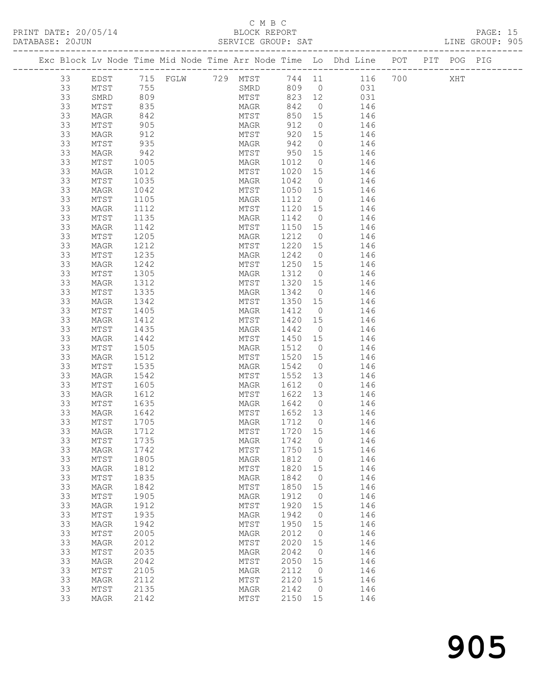### C M B C<br>BLOCK REPORT

| PRINT DATE: 20/05/14<br>DATABASE: 20JUN | BLOCK REPORT<br>SERVICE GROUP: SAT                                             |  | PAGE: 15<br>LINE GROUP: 905 |  |
|-----------------------------------------|--------------------------------------------------------------------------------|--|-----------------------------|--|
|                                         | Exc Block Ly Node Time Mid Node Time Arr Node Time Lo Dhd Line POT PIT POG PIG |  |                             |  |

| 33 | EDST            | 715 FGLW 729 MTST |  |            |                    |                |                             | XHT |  |
|----|-----------------|-------------------|--|------------|--------------------|----------------|-----------------------------|-----|--|
| 33 | MTST            | 755               |  | SMRD       |                    |                | 744 11 116 700<br>809 0 031 |     |  |
| 33 | SMRD            | 809               |  | MTST       | 823 12             |                | 031                         |     |  |
| 33 | MTST            | 835               |  | MAGR       | 842                | $\overline{0}$ | 146                         |     |  |
| 33 | MAGR            | 842               |  | MTST       | 850                | 15             | 146                         |     |  |
| 33 | MTST            | 905               |  | MAGR       | 912                | $\overline{0}$ | 146                         |     |  |
|    |                 |                   |  |            |                    |                |                             |     |  |
| 33 | MAGR            | 912               |  | MTST       | 920 15             |                | 146                         |     |  |
| 33 | MTST            | 935               |  | MAGR       | 942                | $\overline{0}$ | 146                         |     |  |
| 33 | MAGR            | 942               |  | MTST       | $950$ 15<br>1012 0 |                | 146                         |     |  |
| 33 | MTST            | 1005              |  | MAGR       | 1012 0             |                | 146                         |     |  |
| 33 | MAGR            | 1012              |  | MTST       | 1020 15            |                | 146                         |     |  |
| 33 | MTST            | 1035              |  | MAGR       | 1042               | $\overline{0}$ | 146                         |     |  |
| 33 | MAGR            | 1042              |  | MTST       | 1050               | 15             | 146                         |     |  |
| 33 | MTST            | 1105              |  | MAGR       | 1112               | $\overline{0}$ | 146                         |     |  |
| 33 | MAGR            | 1112              |  | MTST       | 1120 15            |                | 146                         |     |  |
| 33 | MTST            | 1135              |  | MAGR       | 1142               | $\overline{0}$ | 146                         |     |  |
| 33 | MAGR            | 1142              |  | MTST       | 1150 15            |                | 146                         |     |  |
| 33 | MTST            | 1205              |  | MAGR       | 1212 0             |                | 146                         |     |  |
| 33 | MAGR            | 1212              |  | MTST       | 1220 15            |                | 146                         |     |  |
| 33 | MTST            | 1235              |  | MAGR       | 1242               | $\overline{0}$ | 146                         |     |  |
|    |                 |                   |  |            |                    |                |                             |     |  |
| 33 | MAGR            | 1242              |  | MTST       | 1250 15            |                | 146                         |     |  |
| 33 | MTST            | 1305              |  | MAGR       | 1312               | $\overline{0}$ | 146                         |     |  |
| 33 | MAGR            | 1312              |  | MTST       | 1320 15            |                | 146                         |     |  |
| 33 | MTST            | 1335              |  | MAGR       | 1342               | $\overline{0}$ | 146                         |     |  |
| 33 | MAGR            | 1342              |  | MTST       | 1350 15            |                | 146                         |     |  |
| 33 | MTST            | 1405              |  | MAGR       | 1412 0             |                | 146                         |     |  |
| 33 | MAGR            | 1412              |  | MTST       | 1420 15            |                | 146                         |     |  |
| 33 | MTST            | 1435              |  | MAGR       | 1442               | $\overline{0}$ | 146                         |     |  |
| 33 | MAGR            | 1442              |  | MTST       | 1450 15            |                | 146                         |     |  |
| 33 | MTST            | 1505              |  | MAGR       | 1512               | $\overline{0}$ | 146                         |     |  |
| 33 | MAGR            | 1512              |  | MTST       | 1520 15            |                | 146                         |     |  |
| 33 | MTST            | 1535              |  | MAGR       | 1542               | $\overline{0}$ | 146                         |     |  |
| 33 | MAGR            | 1542              |  | MTST       | 1552 13            |                | 146                         |     |  |
| 33 | MTST            | 1605              |  | MAGR       | 1612               | $\overline{0}$ | 146                         |     |  |
| 33 | MAGR            | 1612              |  | MTST       | 1622 13            |                | 146                         |     |  |
| 33 | MTST            | 1635              |  | MAGR       | 1642               | $\overline{0}$ | 146                         |     |  |
| 33 |                 | 1642              |  | MTST       | 1652 13            |                | 146                         |     |  |
|    | MAGR            |                   |  |            |                    |                |                             |     |  |
| 33 | MTST            | 1705              |  | MAGR       | 1712               | $\overline{0}$ | 146                         |     |  |
| 33 | MAGR            | 1712              |  | MTST       | 1720               | 15             | 146                         |     |  |
| 33 | MTST            | 1735              |  | MAGR       | 1742               | $\overline{0}$ | 146                         |     |  |
| 33 | MAGR            | 1742              |  | MTST       | 1750               | 15             | 146                         |     |  |
| 33 | MTST            | 1805              |  | $\tt MAGR$ | 1812               | $\circ$        | 146                         |     |  |
| 33 | MAGR            | 1812              |  | MTST       | 1820               | 15             | 146                         |     |  |
| 33 | MTST            | 1835              |  | MAGR       | 1842               | $\mathbf 0$    | 146                         |     |  |
| 33 | MAGR            | 1842              |  | MTST       | 1850               | 15             | 146                         |     |  |
| 33 | MTST            | 1905              |  | MAGR       | 1912               | 0              | 146                         |     |  |
| 33 | MAGR            | 1912              |  | MTST       | 1920               | 15             | 146                         |     |  |
| 33 | $\mathtt{MTST}$ | 1935              |  | MAGR       | 1942               | $\circ$        | 146                         |     |  |
| 33 | <b>MAGR</b>     | 1942              |  | MTST       | 1950               | 15             | 146                         |     |  |
| 33 | MTST            | 2005              |  | MAGR       | 2012               | 0              | 146                         |     |  |
| 33 | MAGR            | 2012              |  | MTST       | 2020               | 15             | 146                         |     |  |
| 33 | $MTST$          | 2035              |  | MAGR       | 2042               | $\circ$        | 146                         |     |  |
| 33 | <b>MAGR</b>     | 2042              |  | MTST       | 2050               | 15             | 146                         |     |  |
| 33 |                 | 2105              |  |            | 2112               |                | 146                         |     |  |
|    | MTST            |                   |  | MAGR       |                    | 0              |                             |     |  |
| 33 | MAGR            | 2112              |  | MTST       | 2120               | 15             | 146                         |     |  |
| 33 | MTST            | 2135              |  | MAGR       | 2142               | $\mathbf 0$    | 146                         |     |  |
| 33 | MAGR            | 2142              |  | MTST       | 2150               | 15             | 146                         |     |  |
|    |                 |                   |  |            |                    |                |                             |     |  |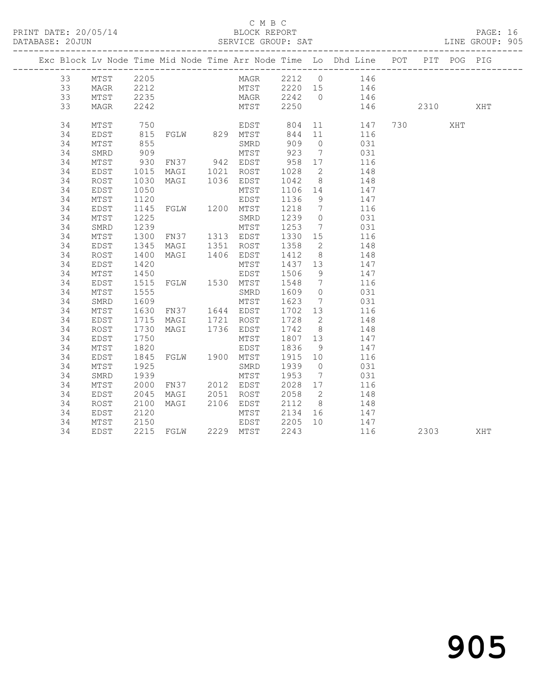### C M B C<br>BLOCK REPORT

| DATABASE: 20JUN |    |      |                     |                                               |                           |              |                 |                                                                                |          |     | LINE GROUP: 905 |
|-----------------|----|------|---------------------|-----------------------------------------------|---------------------------|--------------|-----------------|--------------------------------------------------------------------------------|----------|-----|-----------------|
|                 |    |      |                     |                                               |                           |              |                 | Exc Block Lv Node Time Mid Node Time Arr Node Time Lo Dhd Line POT PIT POG PIG |          |     |                 |
|                 | 33 | MTST | 2205                |                                               |                           |              |                 | MAGR 2212 0 146                                                                |          |     |                 |
|                 | 33 | MAGR |                     |                                               |                           |              |                 | MTST 2220 15 146                                                               |          |     |                 |
|                 | 33 | MTST |                     |                                               |                           |              |                 |                                                                                |          |     |                 |
|                 | 33 | MAGR |                     | 2212<br>2235<br>2242                          |                           |              |                 | MAGR 2242 0 146<br>MTST 2250 146                                               | 146 2310 |     | XHT             |
|                 | 34 | MTST | 750                 | EDST over<br>FGLW 829 MTST 844<br>SMRD 909    |                           |              |                 | 11<br>147                                                                      | 730      | XHT |                 |
|                 | 34 | EDST | 815<br>855          |                                               |                           |              | 11              | 116                                                                            |          |     |                 |
|                 | 34 | MTST |                     |                                               |                           |              | $\bigcirc$      | 031                                                                            |          |     |                 |
|                 | 34 | SMRD | 909                 |                                               | MTST 923                  |              | $\overline{7}$  | 031                                                                            |          |     |                 |
|                 | 34 | MTST | 930                 | FN37 942 EDST                                 |                           | 958          | 17              | 116                                                                            |          |     |                 |
|                 | 34 | EDST | $\frac{1015}{1030}$ | MAGI 1021 ROST<br>MAGI 1036 EDST              |                           | 1028<br>1042 | $\overline{2}$  | 148                                                                            |          |     |                 |
|                 | 34 | ROST | 1030                |                                               |                           |              | $\frac{8}{10}$  | 148                                                                            |          |     |                 |
|                 | 34 | EDST | 1050                |                                               | MTST                      | 1106         | 14              | 147                                                                            |          |     |                 |
|                 | 34 | MTST | 1120                |                                               | EDST                      | 1136         | 9               | 147                                                                            |          |     |                 |
|                 | 34 | EDST | 1145                | FGLW 1200 MTST                                |                           | 1218         | $\overline{7}$  | 116                                                                            |          |     |                 |
|                 | 34 | MTST | 1225                |                                               | SMRD                      | 1239         | $\overline{0}$  | 031                                                                            |          |     |                 |
|                 | 34 | SMRD | 1239                |                                               | MTST                      | 1253         | $7\overline{ }$ | 031                                                                            |          |     |                 |
|                 | 34 | MTST | 1300                | FN37 1313 EDST                                |                           | 1330         | 15              | 116                                                                            |          |     |                 |
|                 | 34 | EDST | 1345                |                                               |                           | 1358<br>1412 | $\overline{2}$  | 148                                                                            |          |     |                 |
|                 | 34 | ROST | 1400                | MAGI 1351 ROST<br>MAGI 1406 EDST              |                           |              |                 | 8 <sup>1</sup><br>148                                                          |          |     |                 |
|                 | 34 | EDST | 1420                |                                               | MTST                      | 1437         | 13              | 147                                                                            |          |     |                 |
|                 | 34 | MTST | 1450                |                                               |                           | 1506         | 9               | 147                                                                            |          |     |                 |
|                 | 34 | EDST | 1515                | EDST<br>FGLW 1530 MTST                        |                           | 1548         | $\overline{7}$  | 116                                                                            |          |     |                 |
|                 | 34 | MTST | 1555                |                                               | SMRD                      | 1609         | $\overline{0}$  | 031                                                                            |          |     |                 |
|                 | 34 | SMRD | 1609                |                                               | MTST                      | 1623         |                 | 7 031                                                                          |          |     |                 |
|                 | 34 | MTST | 1630                | FN37 1644 EDST                                |                           | 1702         | 13              | 116                                                                            |          |     |                 |
|                 | 34 | EDST | 1715                |                                               |                           |              | $\overline{2}$  | 148                                                                            |          |     |                 |
|                 | 34 | ROST | 1730                | MAGI 1721 ROST<br>MAGI 1736 EDST              |                           | 1728<br>1742 |                 | 8 <sup>1</sup><br>148                                                          |          |     |                 |
|                 | 34 | EDST | 1750                |                                               | MTST                      | 1807 13      |                 | 147                                                                            |          |     |                 |
|                 | 34 | MTST | 1820                |                                               |                           | 1836         | 9               | 147                                                                            |          |     |                 |
|                 | 34 | EDST | 1845                | EDST<br>FGLW 1900 MTST                        |                           | 1915 10      |                 | 116                                                                            |          |     |                 |
|                 | 34 | MTST | 1925                |                                               | SMRD                      | 1939         | $\overline{0}$  | 031                                                                            |          |     |                 |
|                 | 34 | SMRD | 1939                |                                               | MTST                      | 1953         | $7\overline{ }$ | 031                                                                            |          |     |                 |
|                 | 34 | MTST | 2000                | FN37 2012 EDST                                |                           |              | 17              | 116                                                                            |          |     |                 |
|                 | 34 | EDST | 2045                | MAGI                                          | 2051 ROST                 | 2028<br>2058 | $\overline{2}$  | 148                                                                            |          |     |                 |
|                 | 34 | ROST | 2100                | MAGI 2106 EDST                                |                           | 2112         |                 | 8 148                                                                          |          |     |                 |
|                 | 34 | EDST |                     |                                               | MTST                      | 2134         |                 | 16 147                                                                         |          |     |                 |
|                 | 34 | MTST |                     |                                               |                           |              |                 | 147                                                                            |          |     |                 |
|                 | 34 | EDST |                     | 2120 MTST<br>2150 EDST<br>2215 FGLW 2229 MTST | EDST 2205 10<br>MTST 2243 |              |                 | 116                                                                            | 2303     |     | XHT             |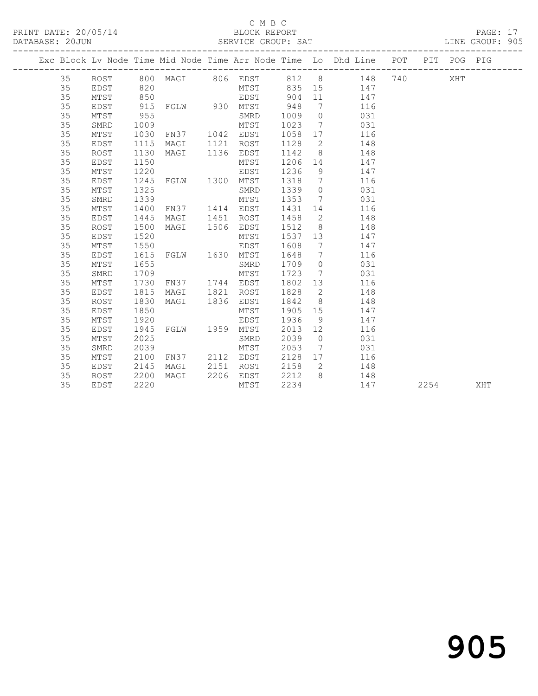### C M B C<br>BLOCK REPORT

PAGE: 17<br>LINE GROUP: 905

|  |    |      |                   |                |      |           |         |                              | Exc Block Lv Node Time Mid Node Time Arr Node Time Lo Dhd Line POT PIT POG PIG |  |      |     |
|--|----|------|-------------------|----------------|------|-----------|---------|------------------------------|--------------------------------------------------------------------------------|--|------|-----|
|  |    |      |                   |                |      |           |         |                              | 35 ROST 800 MAGI 806 EDST 812 8 148 740                                        |  | XHT  |     |
|  | 35 | EDST |                   |                |      |           |         |                              |                                                                                |  |      |     |
|  | 35 | MTST | $820$ $850$ $915$ |                |      |           |         |                              | MTST 835 15 147<br>EDST 904 11 147<br>930 MTST 948 7 116                       |  |      |     |
|  | 35 | EDST |                   |                |      |           |         |                              |                                                                                |  |      |     |
|  | 35 | MTST | 955               |                |      | SMRD      | 1009    | $\overline{0}$               | 031                                                                            |  |      |     |
|  | 35 | SMRD | 1009              |                |      | MTST      | 1023    | $\overline{7}$               | 031                                                                            |  |      |     |
|  | 35 | MTST | 1030              | FN37 1042 EDST |      |           | 1058    | 17                           | 116                                                                            |  |      |     |
|  | 35 | EDST | 1115              | MAGI           |      | 1121 ROST | 1128    | $\overline{2}$               | 148                                                                            |  |      |     |
|  | 35 | ROST | 1130              | MAGI           | 1136 | EDST      | 1142    | 8 <sup>8</sup>               | 148                                                                            |  |      |     |
|  | 35 | EDST | 1150              |                |      | MTST      | 1206    | 14                           | 147                                                                            |  |      |     |
|  | 35 | MTST | 1220              |                |      | EDST      | 1236    | 9                            | 147                                                                            |  |      |     |
|  | 35 | EDST | 1245              | FGLW 1300 MTST |      |           | 1318    | $7\phantom{.0}\phantom{.0}7$ | 116                                                                            |  |      |     |
|  | 35 | MTST | 1325              |                |      | SMRD      | 1339    | $\circ$                      | 031                                                                            |  |      |     |
|  | 35 | SMRD | 1339              |                |      | MTST      | 1353    |                              | $7\overline{ }$<br>031                                                         |  |      |     |
|  | 35 | MTST | 1400              | FN37 1414 EDST |      |           | 1431    |                              | 116<br>14 \,                                                                   |  |      |     |
|  | 35 | EDST | 1445              | MAGI           |      | 1451 ROST | 1458    |                              | $\overline{2}$<br>148                                                          |  |      |     |
|  | 35 | ROST | 1500              | MAGI           |      | 1506 EDST | 1512    |                              | 8<br>148                                                                       |  |      |     |
|  | 35 | EDST | 1520              |                |      | MTST      | 1537    |                              | 13<br>147                                                                      |  |      |     |
|  | 35 | MTST | 1550              |                |      | EDST      | 1608    | $\overline{7}$               | 147                                                                            |  |      |     |
|  | 35 | EDST | 1615              | FGLW 1630 MTST |      |           | 1648    | $\overline{7}$               | 116                                                                            |  |      |     |
|  | 35 | MTST | 1655              |                |      | SMRD      | 1709    | $\bigcirc$                   | 031                                                                            |  |      |     |
|  | 35 | SMRD | 1709              |                |      | MTST      | 1723    |                              | $7\overline{ }$<br>031                                                         |  |      |     |
|  | 35 | MTST | 1730              | FN37 1744 EDST |      |           |         |                              | 1802 13<br>116                                                                 |  |      |     |
|  | 35 | EDST | 1815              | MAGI 1821      |      | ROST      | 1828    |                              | $\overline{2}$<br>148                                                          |  |      |     |
|  | 35 | ROST | 1830              | MAGI 1836      |      | EDST      | 1842    |                              | 8 148                                                                          |  |      |     |
|  | 35 | EDST | 1850              |                |      | MTST      | 1905 15 |                              | 147                                                                            |  |      |     |
|  | 35 | MTST | 1920              |                |      | EDST      | 1936    | 9                            | 147                                                                            |  |      |     |
|  | 35 | EDST | 1945              | FGLW 1959 MTST |      |           | 2013    | 12                           | 116                                                                            |  |      |     |
|  | 35 | MTST | 2025              |                |      | SMRD      | 2039    | $\overline{0}$               | 031                                                                            |  |      |     |
|  | 35 | SMRD | 2039              |                |      | MTST      | 2053    | $\overline{7}$               | 031                                                                            |  |      |     |
|  | 35 | MTST | 2100              | FN37 2112 EDST |      |           | 2128    |                              | 17<br>116                                                                      |  |      |     |
|  | 35 | EDST | 2145              | MAGI           | 2151 | ROST      | 2158    | $\overline{2}$               | 148                                                                            |  |      |     |
|  | 35 | ROST | 2200              | MAGI           |      | 2206 EDST | 2212    | 8 <sup>8</sup>               | 148                                                                            |  |      |     |
|  | 35 | EDST | 2220              |                |      | MTST      | 2234    |                              | 147                                                                            |  | 2254 | XHT |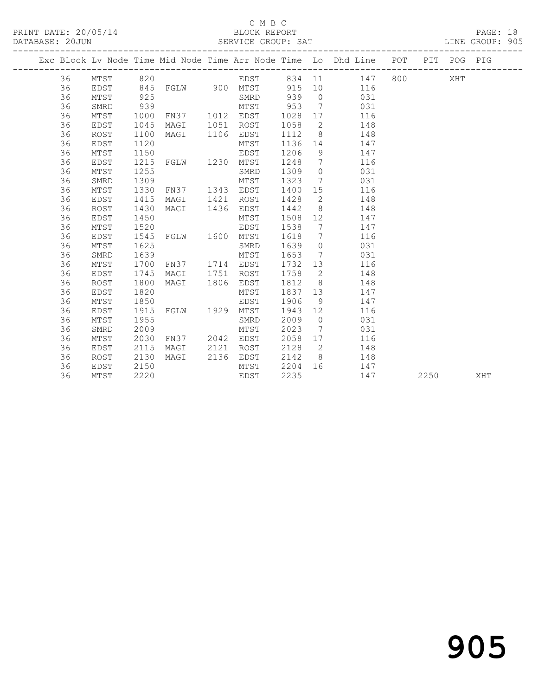### C M B C<br>BLOCK REPORT

PAGE: 18<br>LINE GROUP: 905

|          |              |              |                |      |              |              |                      | Exc Block Lv Node Time Mid Node Time Arr Node Time Lo Dhd Line POT PIT POG PIG |         |      |     |     |
|----------|--------------|--------------|----------------|------|--------------|--------------|----------------------|--------------------------------------------------------------------------------|---------|------|-----|-----|
| 36       | MTST         | 820          |                |      |              |              |                      | EDST 834 11 147                                                                | 800 000 |      | XHT |     |
| 36       | EDST         | 845          | FGLW 900 MTST  |      |              | 915          |                      | 10<br>116                                                                      |         |      |     |     |
| 36       | MTST         | 925          |                |      | SMRD         | 939          | $\overline{0}$       | 031                                                                            |         |      |     |     |
| 36       | SMRD         | 939          |                |      | MTST         | 953          | $\overline{7}$       | 031                                                                            |         |      |     |     |
| 36       | MTST         | 1000         | FN37 1012 EDST |      |              | 1028         | 17                   | 116                                                                            |         |      |     |     |
| 36       | EDST         | 1045         | MAGI           | 1051 | ROST         | 1058         | $\overline{2}$       | 148                                                                            |         |      |     |     |
| 36       | ROST         | 1100         | MAGI           | 1106 | EDST         | 1112         | 8 <sup>8</sup>       | 148                                                                            |         |      |     |     |
| 36       | <b>EDST</b>  | 1120         |                |      | MTST         | 1136 14      |                      | 147                                                                            |         |      |     |     |
| 36       | MTST         | 1150         |                |      | EDST         | 1206         | 9                    | 147                                                                            |         |      |     |     |
| 36       | EDST         | 1215         | FGLW 1230      |      | MTST         | 1248         | $\overline{7}$       | 116                                                                            |         |      |     |     |
| 36       | MTST         | 1255         |                |      | SMRD         | 1309         | $\overline{0}$       | 031                                                                            |         |      |     |     |
| 36       | SMRD         | 1309         |                |      | MTST         | 1323         | $\overline{7}$       | 031                                                                            |         |      |     |     |
| 36       | MTST         | 1330         | FN37           |      | 1343 EDST    | 1400         | 15                   | 116                                                                            |         |      |     |     |
| 36       | EDST         | 1415         | MAGI           | 1421 | ROST         | 1428         | 2                    | 148                                                                            |         |      |     |     |
| 36       | <b>ROST</b>  | 1430         | MAGI           | 1436 | EDST         | 1442         | 8                    | 148                                                                            |         |      |     |     |
| 36       | EDST         | 1450         |                |      | MTST         | 1508         | 12                   | 147                                                                            |         |      |     |     |
| 36       | MTST         | 1520         |                |      | EDST         | 1538         | $\overline{7}$       | 147                                                                            |         |      |     |     |
| 36       | EDST         | 1545         | FGLW 1600      |      | MTST         | 1618         | $\overline{7}$       | 116                                                                            |         |      |     |     |
| 36       | MTST         | 1625         |                |      | SMRD         | 1639         | $\overline{0}$       | 031                                                                            |         |      |     |     |
| 36       | SMRD         | 1639         |                |      | MTST         | 1653         | 7                    | 031                                                                            |         |      |     |     |
| 36       | MTST         | 1700         | FN37           |      | 1714 EDST    | 1732         | 13                   | 116                                                                            |         |      |     |     |
| 36       | EDST         | 1745         | MAGI           | 1751 | ROST         | 1758         | 2                    | 148                                                                            |         |      |     |     |
| 36       | ROST         | 1800         | MAGI           | 1806 | EDST         | 1812         | 8                    | 148                                                                            |         |      |     |     |
| 36       | EDST         | 1820         |                |      | MTST         | 1837         | 13                   | 147<br>147                                                                     |         |      |     |     |
| 36<br>36 | MTST         | 1850<br>1915 | FGLW 1929      |      | EDST         | 1906<br>1943 | 9                    | 116                                                                            |         |      |     |     |
|          | EDST         |              |                |      | MTST         |              | 12<br>$\overline{0}$ |                                                                                |         |      |     |     |
| 36<br>36 | MTST<br>SMRD | 1955<br>2009 |                |      | SMRD<br>MTST | 2009<br>2023 | 7                    | 031<br>031                                                                     |         |      |     |     |
| 36       | MTST         | 2030         | FN37 2042      |      | EDST         | 2058         | 17                   | 116                                                                            |         |      |     |     |
| 36       | EDST         | 2115         | MAGI           | 2121 | ROST         | 2128         | $\overline{2}$       | 148                                                                            |         |      |     |     |
| 36       | ROST         | 2130         | MAGI           | 2136 | EDST         | 2142         | 8 <sup>8</sup>       | 148                                                                            |         |      |     |     |
|          |              |              |                |      |              |              |                      |                                                                                |         |      |     |     |
|          |              |              |                |      |              |              |                      |                                                                                |         |      |     |     |
| 36<br>36 | EDST<br>MTST | 2150<br>2220 |                |      | MTST<br>EDST | 2204<br>2235 | 16                   | 147<br>147                                                                     |         | 2250 |     | XHT |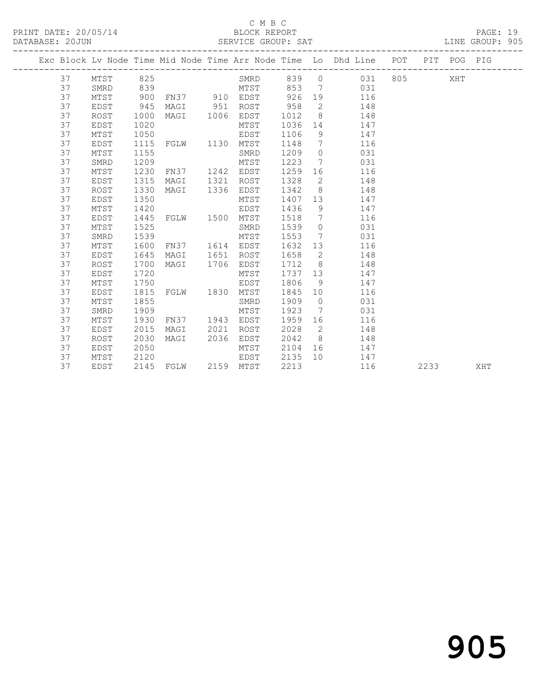### C M B C<br>BLOCK REPORT

PAGE: 19<br>LINE GROUP: 905

|  |    |             |      |               |      |           |      |                | Exc Block Lv Node Time Mid Node Time Arr Node Time Lo Dhd Line POT |     |      | PIT POG PIG |     |
|--|----|-------------|------|---------------|------|-----------|------|----------------|--------------------------------------------------------------------|-----|------|-------------|-----|
|  | 37 | MTST        | 825  |               |      | SMRD      | 839  | $\circ$        | 031                                                                | 805 |      | XHT         |     |
|  | 37 | SMRD        | 839  |               |      | MTST      | 853  |                | 031<br>7                                                           |     |      |             |     |
|  | 37 | MTST        | 900  | FN37 910 EDST |      |           | 926  | 19             | 116                                                                |     |      |             |     |
|  | 37 | EDST        | 945  | MAGI          | 951  | ROST      | 958  | 2              | 148                                                                |     |      |             |     |
|  | 37 | ROST        | 1000 | MAGI          | 1006 | EDST      | 1012 | 8 <sup>8</sup> | 148                                                                |     |      |             |     |
|  | 37 | <b>EDST</b> | 1020 |               |      | MTST      | 1036 | 14             | 147                                                                |     |      |             |     |
|  | 37 | MTST        | 1050 |               |      | EDST      | 1106 | 9              | 147                                                                |     |      |             |     |
|  | 37 | EDST        | 1115 | FGLW          | 1130 | MTST      | 1148 | $\overline{7}$ | 116                                                                |     |      |             |     |
|  | 37 | MTST        | 1155 |               |      | SMRD      | 1209 | $\bigcirc$     | 031                                                                |     |      |             |     |
|  | 37 | SMRD        | 1209 |               |      | MTST      | 1223 | $\overline{7}$ | 031                                                                |     |      |             |     |
|  | 37 | MTST        | 1230 | FN37          | 1242 | EDST      | 1259 | 16             | 116                                                                |     |      |             |     |
|  | 37 | EDST        | 1315 | MAGI          | 1321 | ROST      | 1328 | 2              | 148                                                                |     |      |             |     |
|  | 37 | ROST        | 1330 | MAGI          | 1336 | EDST      | 1342 | 8 <sup>8</sup> | 148                                                                |     |      |             |     |
|  | 37 | EDST        | 1350 |               |      | MTST      | 1407 | 13             | 147                                                                |     |      |             |     |
|  | 37 | MTST        | 1420 |               |      | EDST      | 1436 | 9              | 147                                                                |     |      |             |     |
|  | 37 | EDST        | 1445 | FGLW          | 1500 | MTST      | 1518 | $\overline{7}$ | 116                                                                |     |      |             |     |
|  | 37 | MTST        | 1525 |               |      | SMRD      | 1539 | $\overline{0}$ | 031                                                                |     |      |             |     |
|  | 37 | SMRD        | 1539 |               |      | MTST      | 1553 | $\overline{7}$ | 031                                                                |     |      |             |     |
|  | 37 | MTST        | 1600 | FN37          |      | 1614 EDST | 1632 | 13             | 116                                                                |     |      |             |     |
|  | 37 | EDST        | 1645 | MAGI          | 1651 | ROST      | 1658 | 2              | 148                                                                |     |      |             |     |
|  | 37 | ROST        | 1700 | MAGI          | 1706 | EDST      | 1712 | 8 <sup>8</sup> | 148                                                                |     |      |             |     |
|  | 37 | EDST        | 1720 |               |      | MTST      | 1737 | 13             | 147                                                                |     |      |             |     |
|  | 37 | MTST        | 1750 |               |      | EDST      | 1806 | - 9            | 147                                                                |     |      |             |     |
|  | 37 | EDST        | 1815 | FGLW          | 1830 | MTST      | 1845 | 10             | 116                                                                |     |      |             |     |
|  | 37 | MTST        | 1855 |               |      | SMRD      | 1909 | $\overline{0}$ | 031                                                                |     |      |             |     |
|  | 37 | SMRD        | 1909 |               |      | MTST      | 1923 | $\overline{7}$ | 031                                                                |     |      |             |     |
|  | 37 | MTST        | 1930 | FN37          | 1943 | EDST      | 1959 | 16             | 116                                                                |     |      |             |     |
|  | 37 | <b>EDST</b> | 2015 | MAGI          | 2021 | ROST      | 2028 | $\overline{2}$ | 148                                                                |     |      |             |     |
|  | 37 | <b>ROST</b> | 2030 | MAGI          | 2036 | EDST      | 2042 | 8 <sup>8</sup> | 148                                                                |     |      |             |     |
|  | 37 | EDST        | 2050 |               |      | MTST      | 2104 | 16             | 147                                                                |     |      |             |     |
|  | 37 | MTST        | 2120 |               |      | EDST      | 2135 | 10             | 147                                                                |     |      |             |     |
|  | 37 | EDST        | 2145 | FGLW          |      | 2159 MTST | 2213 |                | 116                                                                |     | 2233 |             | XHT |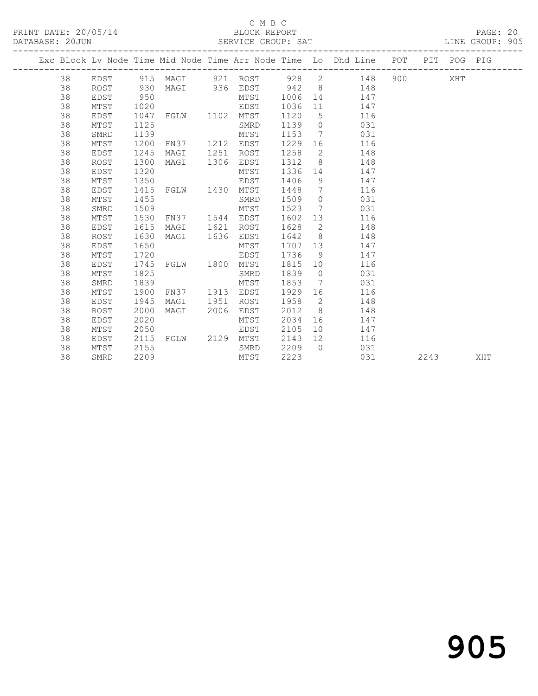### C M B C<br>BLOCK REPORT

PAGE: 20<br>LINE GROUP: 905

|  |    |             |      |           |      |                     |      |                 | Exc Block Lv Node Time Mid Node Time Arr Node Time Lo Dhd Line POT PIT POG PIG |           |      |     |     |
|--|----|-------------|------|-----------|------|---------------------|------|-----------------|--------------------------------------------------------------------------------|-----------|------|-----|-----|
|  |    |             |      |           |      |                     |      |                 |                                                                                |           |      |     |     |
|  | 38 | EDST        |      |           |      |                     |      |                 | 928 2<br>148                                                                   | 900 — 100 |      | XHT |     |
|  | 38 | ROST        | 930  |           |      | MAGI 936 EDST 942 8 |      |                 | 148                                                                            |           |      |     |     |
|  | 38 | EDST        | 950  |           |      | MTST                | 1006 | 14              | 147                                                                            |           |      |     |     |
|  | 38 | MTST        | 1020 |           |      | EDST                | 1036 | 11              | 147                                                                            |           |      |     |     |
|  | 38 | EDST        | 1047 | FGLW 1102 |      | MTST                | 1120 | 5               | 116                                                                            |           |      |     |     |
|  | 38 | MTST        | 1125 |           |      | SMRD                | 1139 |                 | $\overline{0}$<br>031                                                          |           |      |     |     |
|  | 38 | SMRD        | 1139 |           |      | MTST                | 1153 | $\overline{7}$  | 031                                                                            |           |      |     |     |
|  | 38 | MTST        | 1200 | FN37      | 1212 | EDST                | 1229 | 16              | 116                                                                            |           |      |     |     |
|  | 38 | EDST        | 1245 | MAGI      | 1251 | ROST                | 1258 | 2               | 148                                                                            |           |      |     |     |
|  | 38 | ROST        | 1300 | MAGI      | 1306 | EDST                | 1312 | 8 <sup>8</sup>  | 148                                                                            |           |      |     |     |
|  | 38 | EDST        | 1320 |           |      | MTST                | 1336 |                 | 147<br>14                                                                      |           |      |     |     |
|  | 38 | MTST        | 1350 |           |      | EDST                | 1406 | 9               | 147                                                                            |           |      |     |     |
|  | 38 | EDST        | 1415 | FGLW 1430 |      | MTST                | 1448 | $\overline{7}$  | 116                                                                            |           |      |     |     |
|  | 38 | MTST        | 1455 |           |      | SMRD                | 1509 | $\overline{0}$  | 031                                                                            |           |      |     |     |
|  | 38 | SMRD        | 1509 |           |      | MTST                | 1523 |                 | 7<br>031                                                                       |           |      |     |     |
|  | 38 | MTST        | 1530 | FN37      | 1544 | EDST                | 1602 | 13              | 116                                                                            |           |      |     |     |
|  | 38 | EDST        | 1615 | MAGI      | 1621 | ROST                | 1628 | 2               | 148                                                                            |           |      |     |     |
|  | 38 | <b>ROST</b> | 1630 | MAGI      | 1636 | EDST                | 1642 | 8 <sup>8</sup>  | 148                                                                            |           |      |     |     |
|  | 38 | EDST        | 1650 |           |      | MTST                | 1707 | 13              | 147                                                                            |           |      |     |     |
|  | 38 | MTST        | 1720 |           |      | EDST                | 1736 | - 9             | 147                                                                            |           |      |     |     |
|  | 38 | EDST        | 1745 | FGLW 1800 |      | MTST                | 1815 | 10              | 116                                                                            |           |      |     |     |
|  | 38 | MTST        | 1825 |           |      | SMRD                | 1839 | $\overline{0}$  | 031                                                                            |           |      |     |     |
|  | 38 | SMRD        | 1839 |           |      | MTST                | 1853 | 7               | 031                                                                            |           |      |     |     |
|  | 38 | MTST        | 1900 | FN37      | 1913 | EDST                | 1929 | 16              | 116                                                                            |           |      |     |     |
|  | 38 | EDST        | 1945 | MAGI      | 1951 | ROST                | 1958 | $\overline{2}$  | 148                                                                            |           |      |     |     |
|  | 38 | ROST        | 2000 | MAGI      | 2006 | EDST                | 2012 | 8 <sup>8</sup>  | 148                                                                            |           |      |     |     |
|  | 38 | <b>EDST</b> | 2020 |           |      | MTST                | 2034 | 16              | 147                                                                            |           |      |     |     |
|  | 38 | MTST        | 2050 |           |      | EDST                | 2105 | 10 <sup>°</sup> | 147                                                                            |           |      |     |     |
|  | 38 | EDST        | 2115 | FGLW 2129 |      | MTST                | 2143 | 12              | 116                                                                            |           |      |     |     |
|  | 38 | MTST        | 2155 |           |      | SMRD                | 2209 | $\bigcirc$      | 031                                                                            |           |      |     |     |
|  | 38 | SMRD        | 2209 |           |      | MTST                | 2223 |                 | 031                                                                            |           | 2243 |     | XHT |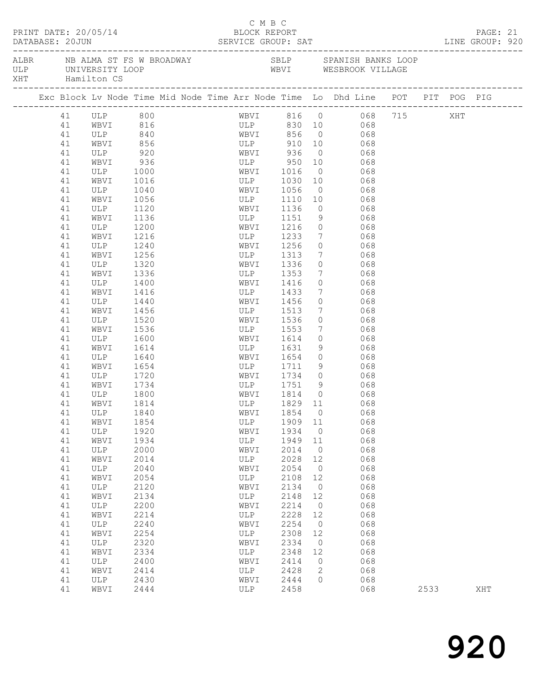|                 | PRINT DATE: 20/05/14           | DATABASE: 20JUN SERVICE GROUP: SAT LINE GROUP: 920                             |  | BLOCK REPORT                      | C M B C |                                                      |                 |                                                |                                           |                        |      | PAGE: 21 |  |
|-----------------|--------------------------------|--------------------------------------------------------------------------------|--|-----------------------------------|---------|------------------------------------------------------|-----------------|------------------------------------------------|-------------------------------------------|------------------------|------|----------|--|
| XHT Hamilton CS |                                |                                                                                |  |                                   |         |                                                      |                 |                                                |                                           |                        |      |          |  |
|                 |                                | Exc Block Lv Node Time Mid Node Time Arr Node Time Lo Dhd Line POT PIT POG PIG |  |                                   |         |                                                      |                 |                                                |                                           |                        |      |          |  |
| 41              |                                |                                                                                |  |                                   |         |                                                      |                 |                                                |                                           | WBVI 816 0 068 715 XHT |      |          |  |
| 41              | ULP 800<br>WBVI 816<br>ULP 840 |                                                                                |  |                                   |         |                                                      |                 |                                                |                                           |                        |      |          |  |
| 41              |                                |                                                                                |  | ULP 830 10 068<br>WBVI 856 0 068  |         |                                                      |                 |                                                |                                           |                        |      |          |  |
| 41              | WBVI                           | 856                                                                            |  | ULP                               |         |                                                      |                 | 910 10 068                                     |                                           |                        |      |          |  |
| 41              | ULP                            | 920                                                                            |  | WBVI 936                          |         |                                                      |                 | $0 \qquad 068$                                 |                                           |                        |      |          |  |
| 41              | WBVI                           | 936                                                                            |  |                                   |         |                                                      |                 |                                                |                                           |                        |      |          |  |
| 41              | ULP                            | 1000                                                                           |  | ULP 950 10 068<br>WBVI 1016 0 068 |         |                                                      |                 |                                                |                                           |                        |      |          |  |
| 41              | WBVI                           | 1016                                                                           |  |                                   |         | ULP 1030                                             |                 | 10 068                                         |                                           |                        |      |          |  |
| 41              | ULP                            | 1040                                                                           |  | WBVI                              |         | 1056                                                 |                 | $0$ 068                                        |                                           |                        |      |          |  |
| 41              | WBVI                           | 1056                                                                           |  |                                   |         | 1110 10<br>WB <sub>V</sub><br>ULP 1110<br>TT 1136    |                 |                                                | 068                                       |                        |      |          |  |
| 41              | ULP                            | 1120                                                                           |  |                                   |         |                                                      | $\overline{0}$  |                                                | 068                                       |                        |      |          |  |
| 41              | WBVI                           | 1136                                                                           |  |                                   |         | ULP 1151                                             |                 | 9 068                                          |                                           |                        |      |          |  |
| 41              | ULP                            | 1200                                                                           |  |                                   |         | WBVI 1216                                            |                 | $0$ 068                                        |                                           |                        |      |          |  |
| 41              | WBVI                           | 1216                                                                           |  |                                   |         | W <sub>D</sub> <sub>v</sub> _<br>ULP 1256<br>TT 1256 |                 |                                                |                                           |                        |      |          |  |
| 41              | ULP                            | 1240                                                                           |  |                                   |         |                                                      | $\overline{0}$  | $\frac{1}{7}$                                  | $\begin{array}{c} 068 \\ 068 \end{array}$ |                        |      |          |  |
| 41              | WBVI                           | 1256                                                                           |  |                                   |         | ULP 1313                                             |                 | 7 068                                          |                                           |                        |      |          |  |
|                 |                                |                                                                                |  |                                   |         |                                                      | $\circ$         |                                                |                                           |                        |      |          |  |
| 41              | ULP                            | 1320                                                                           |  |                                   |         | WBVI 1336                                            |                 | 068                                            |                                           |                        |      |          |  |
| 41              | WBVI                           | 1336                                                                           |  |                                   |         | ULP 1353<br>WBVI 1416                                |                 | $7\overline{ }$                                | 068                                       |                        |      |          |  |
| 41              | ULP                            | 1400                                                                           |  |                                   |         | ULP 1433                                             | $\overline{0}$  |                                                | 068<br>068                                |                        |      |          |  |
| 41              | WBVI                           | 1416                                                                           |  |                                   |         |                                                      | $7\overline{ }$ |                                                |                                           |                        |      |          |  |
| 41              | ULP                            | 1440                                                                           |  |                                   |         | WBVI 1456                                            | $\circ$         | 068                                            |                                           |                        |      |          |  |
| 41              | WBVI                           | 1456                                                                           |  | ULP                               |         | 1513                                                 |                 | 7 068                                          |                                           |                        |      |          |  |
| 41              | ULP                            | 1520                                                                           |  | WBVI                              |         | 1536<br>WEVI 1556                                    | $\overline{0}$  |                                                | 068                                       |                        |      |          |  |
| 41              | WBVI                           | 1536                                                                           |  |                                   |         |                                                      |                 | $\begin{array}{ccc}\n 7 & 068 \\  \end{array}$ |                                           |                        |      |          |  |
| 41              | ULP                            | 1600                                                                           |  |                                   |         | WBVI 1614                                            | $\circ$         | 068                                            |                                           |                        |      |          |  |
| 41              | WBVI                           | 1614                                                                           |  |                                   |         | ULP 1631                                             | 9               | 068                                            |                                           |                        |      |          |  |
| 41              | ULP                            | 1640                                                                           |  | WBVI                              |         | 1654                                                 | $\circ$         |                                                | 068                                       |                        |      |          |  |
| 41              | WBVI                           | 1654                                                                           |  | ULP                               |         | 1711                                                 |                 | 9                                              | 068                                       |                        |      |          |  |
| 41              | ULP                            | 1720                                                                           |  |                                   |         | WBVI 1734 0 068                                      |                 |                                                |                                           |                        |      |          |  |
| 41              | WBVI                           | 1734                                                                           |  |                                   |         | ULP 1751                                             |                 | 9 068                                          |                                           |                        |      |          |  |
| 41              | ULP                            | 1800                                                                           |  |                                   |         | WBVI 1814 0<br>ULP 1829 11                           | $\overline{0}$  |                                                | $\begin{array}{c} 068 \\ 068 \end{array}$ |                        |      |          |  |
| 41              | WBVI                           | 1814                                                                           |  |                                   |         |                                                      |                 |                                                |                                           |                        |      |          |  |
|                 | 41 ULP 1840                    |                                                                                |  |                                   |         | WBVI 1854 0 068                                      |                 |                                                |                                           |                        |      |          |  |
| 41              | WBVI                           | 1854                                                                           |  | ULP                               |         | 1909 11                                              |                 |                                                | 068                                       |                        |      |          |  |
| 41              | ULP                            | 1920                                                                           |  | WBVI                              |         | 1934                                                 | $\overline{0}$  |                                                | 068                                       |                        |      |          |  |
| 41              | WBVI                           | 1934                                                                           |  | ULP                               |         | 1949                                                 | 11              |                                                | 068                                       |                        |      |          |  |
| 41              | ULP                            | 2000                                                                           |  | WBVI                              |         | 2014                                                 | $\overline{0}$  |                                                | 068                                       |                        |      |          |  |
| 41              | WBVI                           | 2014                                                                           |  | ULP                               |         | 2028                                                 | 12              |                                                | 068                                       |                        |      |          |  |
| 41              | ULP                            | 2040                                                                           |  | WBVI                              |         | 2054                                                 | $\overline{0}$  |                                                | 068                                       |                        |      |          |  |
| 41              | WBVI                           | 2054                                                                           |  | ULP                               |         | 2108                                                 | 12              |                                                | 068                                       |                        |      |          |  |
| 41              | ULP                            | 2120                                                                           |  | WBVI                              |         | 2134                                                 | $\overline{0}$  |                                                | 068                                       |                        |      |          |  |
| 41              | WBVI                           | 2134                                                                           |  | ULP                               |         | 2148                                                 | 12              |                                                | 068                                       |                        |      |          |  |
| 41              | ULP                            | 2200                                                                           |  | WBVI                              |         | 2214                                                 | $\overline{0}$  |                                                | 068                                       |                        |      |          |  |
| 41              | WBVI                           | 2214                                                                           |  | ULP                               |         | 2228                                                 | 12              |                                                | 068                                       |                        |      |          |  |
| 41              | ULP                            | 2240                                                                           |  | WBVI                              |         | 2254                                                 | $\overline{0}$  |                                                | 068                                       |                        |      |          |  |
| 41              | WBVI                           | 2254                                                                           |  | ULP                               |         | 2308                                                 | 12              |                                                | 068                                       |                        |      |          |  |
| 41              | ULP                            | 2320                                                                           |  | WBVI                              |         | 2334                                                 | $\overline{0}$  |                                                | 068                                       |                        |      |          |  |
| 41              | WBVI                           | 2334                                                                           |  | ULP                               |         | 2348                                                 | 12              |                                                | 068                                       |                        |      |          |  |
| 41              | ULP                            | 2400                                                                           |  | WBVI                              |         | 2414                                                 | $\circ$         |                                                | 068                                       |                        |      |          |  |
| 41              | WBVI                           | 2414                                                                           |  | ULP                               |         | 2428                                                 | 2               |                                                | 068                                       |                        |      |          |  |
| 41              | ULP                            | 2430                                                                           |  | WBVI                              |         | 2444                                                 | $\bigcap$       |                                                | 068                                       |                        |      |          |  |
| 41              | WBVI                           | 2444                                                                           |  | ULP                               |         | 2458                                                 |                 |                                                | 068                                       |                        | 2533 | XHT      |  |
|                 |                                |                                                                                |  |                                   |         |                                                      |                 |                                                |                                           |                        |      |          |  |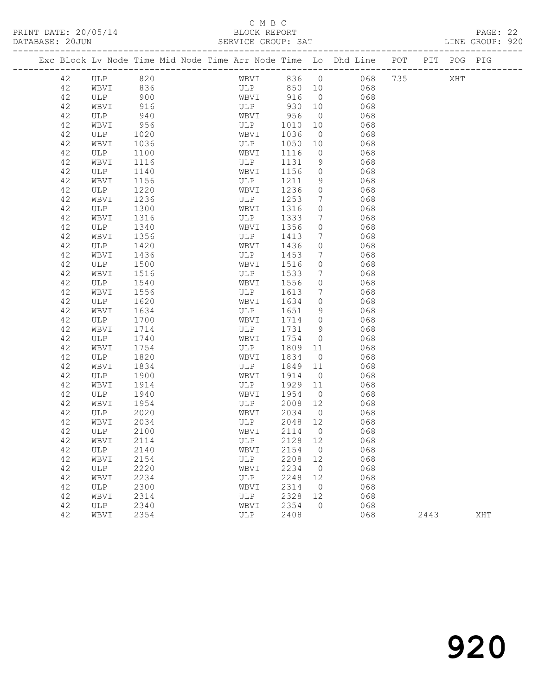### C M B C

DATABASE: 20JUN SERVICE GROUP: SAT LINE GROUP: 920

| Exc Block Lv Node Time Mid Node Time Arr Node Time Lo Dhd Line POT |                     |      |  |      |      |            |                 |     |         |      | PIT POG PIG |     |
|--------------------------------------------------------------------|---------------------|------|--|------|------|------------|-----------------|-----|---------|------|-------------|-----|
| 42                                                                 | ULP 820<br>WBVI 836 |      |  |      |      | WBVI 836 0 |                 |     | 068 735 |      | XHT         |     |
| 42                                                                 |                     |      |  |      | ULP  | 850 10     |                 | 068 |         |      |             |     |
| 42                                                                 | ULP                 | 900  |  |      | WBVI | 916        | $\overline{0}$  | 068 |         |      |             |     |
| 42                                                                 | WBVI                | 916  |  | ULP  |      | 930        | 10              | 068 |         |      |             |     |
| 42                                                                 | ULP                 | 940  |  | WBVI |      | 956        | $\overline{0}$  | 068 |         |      |             |     |
| 42                                                                 | WBVI                | 956  |  | ULP  |      | 1010       | 10              | 068 |         |      |             |     |
| 42                                                                 | ULP                 | 1020 |  | WBVI |      | 1036       | $\overline{0}$  | 068 |         |      |             |     |
| 42                                                                 | WBVI                | 1036 |  | ULP  |      | 1050       | 10              | 068 |         |      |             |     |
| 42                                                                 | ULP                 | 1100 |  | WBVI |      | 1116       | $\circ$         | 068 |         |      |             |     |
| 42                                                                 | WBVI                | 1116 |  | ULP  |      | 1131       | 9               | 068 |         |      |             |     |
| 42                                                                 | ULP                 | 1140 |  | WBVI |      | 1156       | $\circ$         | 068 |         |      |             |     |
| 42                                                                 | WBVI                | 1156 |  | ULP  |      | 1211       | 9               | 068 |         |      |             |     |
| 42                                                                 | ULP                 | 1220 |  | WBVI |      | 1236       | $\circ$         | 068 |         |      |             |     |
| 42                                                                 | WBVI                | 1236 |  | ULP  |      | 1253       | $7\phantom{.0}$ | 068 |         |      |             |     |
| 42                                                                 | ULP                 | 1300 |  | WBVI |      | 1316       | $\circ$         | 068 |         |      |             |     |
| 42                                                                 | WBVI                | 1316 |  | ULP  |      | 1333       | 7               | 068 |         |      |             |     |
| 42                                                                 | ULP                 | 1340 |  | WBVI |      | 1356       | $\circ$         | 068 |         |      |             |     |
| 42                                                                 | WBVI                | 1356 |  | ULP  |      | 1413       | $7\phantom{.0}$ | 068 |         |      |             |     |
| 42                                                                 | ULP                 | 1420 |  | WBVI |      | 1436       | $\circ$         | 068 |         |      |             |     |
| 42                                                                 | WBVI                | 1436 |  | ULP  |      | 1453       | $7\phantom{0}$  | 068 |         |      |             |     |
| 42                                                                 | ULP                 | 1500 |  | WBVI |      | 1516       | $\circ$         | 068 |         |      |             |     |
| 42                                                                 | WBVI                | 1516 |  | ULP  |      | 1533       | $7\phantom{.0}$ | 068 |         |      |             |     |
| 42                                                                 | ULP                 | 1540 |  | WBVI |      | 1556       | $\circ$         | 068 |         |      |             |     |
| 42                                                                 | WBVI                | 1556 |  | ULP  |      | 1613       | 7               | 068 |         |      |             |     |
| 42                                                                 | ULP                 | 1620 |  | WBVI |      | 1634       | $\circ$         | 068 |         |      |             |     |
| 42                                                                 | WBVI                | 1634 |  | ULP  |      | 1651       | 9               | 068 |         |      |             |     |
| 42                                                                 | ULP                 | 1700 |  | WBVI |      | 1714       | $\circ$         | 068 |         |      |             |     |
| 42                                                                 | WBVI                | 1714 |  | ULP  |      | 1731       | 9               | 068 |         |      |             |     |
| 42                                                                 | ULP                 | 1740 |  | WBVI |      | 1754       | $\circ$         | 068 |         |      |             |     |
| 42                                                                 | WBVI                | 1754 |  | ULP  |      | 1809       | 11              | 068 |         |      |             |     |
| 42                                                                 | ULP                 | 1820 |  | WBVI |      | 1834       | $\overline{0}$  | 068 |         |      |             |     |
| 42                                                                 | WBVI                | 1834 |  | ULP  |      | 1849       | 11              | 068 |         |      |             |     |
| 42                                                                 | ULP                 | 1900 |  | WBVI |      | 1914       | $\overline{0}$  | 068 |         |      |             |     |
| 42                                                                 | WBVI                | 1914 |  | ULP  |      | 1929       | 11              | 068 |         |      |             |     |
| 42                                                                 | ULP                 | 1940 |  | WBVI |      | 1954       | $\overline{0}$  | 068 |         |      |             |     |
| 42                                                                 | WBVI                | 1954 |  | ULP  |      | 2008       | 12              | 068 |         |      |             |     |
| 42                                                                 | ULP                 | 2020 |  |      | WBVI | 2034       | $\overline{0}$  | 068 |         |      |             |     |
| 42                                                                 | WBVI                | 2034 |  |      | ULP  | 2048       | 12              | 068 |         |      |             |     |
| 42                                                                 | ULP                 | 2100 |  | WBVI |      | 2114       | $\overline{0}$  | 068 |         |      |             |     |
| 42                                                                 | WBVI                | 2114 |  |      | ULP  | 2128 12    |                 | 068 |         |      |             |     |
| 42                                                                 | ULP                 | 2140 |  | WBVI |      | 2154       | $\overline{0}$  | 068 |         |      |             |     |
| 42                                                                 | WBVI                | 2154 |  | ULP  |      | 2208       | 12              | 068 |         |      |             |     |
| 42                                                                 | <b>ULP</b>          | 2220 |  | WBVI |      | 2234       | $\overline{0}$  | 068 |         |      |             |     |
| 42                                                                 | WBVI                | 2234 |  | ULP  |      | 2248       | 12              | 068 |         |      |             |     |
| 42                                                                 | <b>ULP</b>          | 2300 |  | WBVI |      | 2314       | $\overline{0}$  | 068 |         |      |             |     |
| 42                                                                 | WBVI                | 2314 |  | ULP  |      | 2328       | 12              | 068 |         |      |             |     |
| 42                                                                 | ULP                 | 2340 |  | WBVI |      | 2354       | $\circ$         | 068 |         |      |             |     |
| 42                                                                 | WBVI                | 2354 |  | ULP  |      | 2408       |                 | 068 |         | 2443 |             | XHT |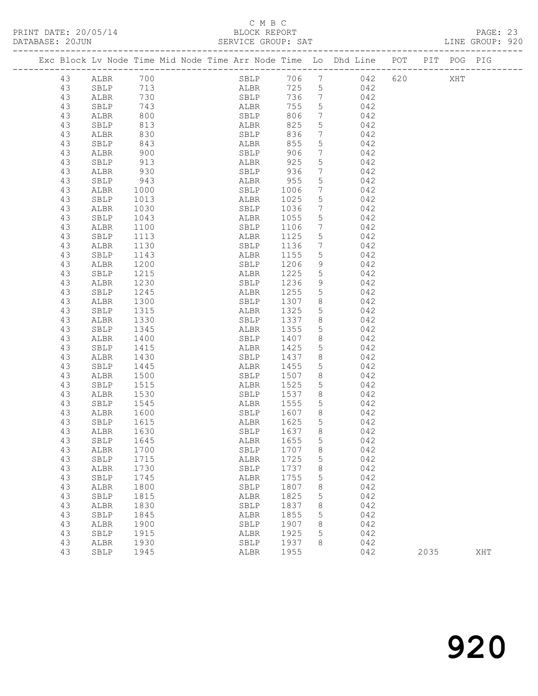# C M B C<br>BLOCK REPORT<br>SERVICE GROUP: SAT

| DATABASE: 20JUN |    |              |              |                                                                                |      |                              |                |         |      | LINE GROUP: 920 |  |
|-----------------|----|--------------|--------------|--------------------------------------------------------------------------------|------|------------------------------|----------------|---------|------|-----------------|--|
|                 |    |              |              | Exc Block Lv Node Time Mid Node Time Arr Node Time Lo Dhd Line POT PIT POG PIG |      |                              |                |         |      |                 |  |
|                 | 43 | ALBR 700     |              |                                                                                |      |                              | SBLP 706 7 042 | 620 XHT |      |                 |  |
|                 | 43 | SBLP 713     |              | ALBR                                                                           |      |                              | 725 5 042      |         |      |                 |  |
|                 | 43 | ALBR         | 730          | SBLP                                                                           |      |                              | 736 7 042      |         |      |                 |  |
|                 | 43 | SBLP         | 743          | ALBR                                                                           | 755  | 5 <sup>5</sup>               | 042            |         |      |                 |  |
|                 | 43 | ALBR         | 800          | ALBR<br>SBLP                                                                   | 806  | $7\overline{ }$              | 042            |         |      |                 |  |
|                 | 43 | SBLP         | 813          | <b>ALBR</b>                                                                    | 825  | $5\overline{)}$              | 042            |         |      |                 |  |
|                 | 43 | ALBR         | 830          | SBLP                                                                           | 836  |                              | $7 \qquad 042$ |         |      |                 |  |
|                 | 43 | SBLP         | 843          | ALBR                                                                           | 855  | 5 <sup>5</sup>               | 042            |         |      |                 |  |
|                 | 43 | ALBR         | 900          | SBLP                                                                           | 906  | $7\phantom{.0}\phantom{.0}7$ | 042            |         |      |                 |  |
|                 | 43 | SBLP         | 913          | ALBR                                                                           | 925  | 5                            | 042            |         |      |                 |  |
|                 | 43 | ALBR         | 930          | SBLP                                                                           | 936  | $7\overline{ }$              | 042            |         |      |                 |  |
|                 | 43 | SBLP         | 943          | ALBR 955                                                                       |      | 5                            | 042            |         |      |                 |  |
|                 | 43 | ALBR         | 1000         | SBLP                                                                           | 1006 | $7\overline{ }$              | 042            |         |      |                 |  |
|                 | 43 | SBLP         | 1013         | ALBR                                                                           | 1025 | $5\overline{)}$              | 042            |         |      |                 |  |
|                 | 43 | ALBR         | 1030         | SBLP                                                                           | 1036 | 7 <sup>7</sup>               | 042            |         |      |                 |  |
|                 | 43 | SBLP         |              | ALBR                                                                           | 1055 | $5\phantom{.0}$              | 042            |         |      |                 |  |
|                 | 43 | ALBR         | 1043<br>1100 | SBLP                                                                           | 1106 | $7\overline{ }$              | 042            |         |      |                 |  |
|                 | 43 | SBLP         | 1113         | ALBR                                                                           | 1125 | 5                            | 042            |         |      |                 |  |
|                 | 43 | ALBR         | 1130         | SBLP                                                                           | 1136 | $7\overline{ }$              | 042            |         |      |                 |  |
|                 | 43 | SBLP         | 1143         | ALBR                                                                           | 1155 | $5\overline{)}$              | 042            |         |      |                 |  |
|                 | 43 | ALBR         | 1200         | SBLP                                                                           | 1206 | 9                            | 042            |         |      |                 |  |
|                 | 43 | SBLP         | 1215         | ALBR                                                                           | 1225 | 5 <sup>5</sup>               | 042            |         |      |                 |  |
|                 | 43 | ALBR         | 1230         | SBLP                                                                           | 1236 | 9                            | 042            |         |      |                 |  |
|                 | 43 | SBLP         | 1245         | ALBR                                                                           | 1255 | 5 <sup>5</sup>               | 042            |         |      |                 |  |
|                 | 43 | ALBR         | 1300         | SBLP                                                                           | 1307 | 8 <sup>8</sup>               | 042            |         |      |                 |  |
|                 | 43 | SBLP         | 1315         | ALBR                                                                           | 1325 | 5 <sup>5</sup>               | 042            |         |      |                 |  |
|                 | 43 | ALBR         | 1330         | SBLP 1337                                                                      |      | 8 <sup>8</sup>               | 042            |         |      |                 |  |
|                 | 43 | SBLP         | 1345         | ALBR                                                                           | 1355 | 5 <sup>5</sup>               | 042            |         |      |                 |  |
|                 | 43 | ALBR         | 1400         | SBLP                                                                           | 1407 | 8                            | 042            |         |      |                 |  |
|                 | 43 | SBLP         | 1415         | ALBR                                                                           | 1425 | 5 <sup>5</sup>               | 042            |         |      |                 |  |
|                 | 43 | ALBR         | 1430         | SBLP                                                                           | 1437 | 8 <sup>8</sup>               | 042            |         |      |                 |  |
|                 | 43 | SBLP         | 1445         | ALBR                                                                           | 1455 | 5 <sup>5</sup>               | 042            |         |      |                 |  |
|                 | 43 | ALBR         | 1500         | SBLP                                                                           | 1507 | 8                            | 042            |         |      |                 |  |
|                 | 43 | SBLP         | 1515         | ALBR                                                                           | 1525 | 5 <sup>5</sup>               | 042            |         |      |                 |  |
|                 | 43 | ALBR         | 1530         | SBLP 1537                                                                      |      | 8 <sup>8</sup>               | 042            |         |      |                 |  |
|                 | 43 | SBLP         | 1545         | ALBR                                                                           | 1555 | 5 <sup>5</sup>               | 042            |         |      |                 |  |
|                 | 43 | ALBR         |              | SBLP                                                                           | 1607 | 8 <sup>8</sup>               | 042            |         |      |                 |  |
|                 | 43 | SBLP         | 1600<br>1615 | <b>ALBR</b>                                                                    | 1625 | 5                            | 042            |         |      |                 |  |
|                 | 43 | ALBR 1630    |              | SBLP 1637 8                                                                    |      |                              | 042            |         |      |                 |  |
|                 | 43 | SBLP         | 1645         | ALBR                                                                           | 1655 | 5                            | 042            |         |      |                 |  |
|                 | 43 | ${\tt ALBR}$ | 1700         | SBLP                                                                           | 1707 | 8                            | 042            |         |      |                 |  |
|                 | 43 | SBLP         | 1715         | ALBR                                                                           | 1725 | 5                            | 042            |         |      |                 |  |
|                 | 43 | ALBR         | 1730         | SBLP                                                                           | 1737 | 8                            | 042            |         |      |                 |  |
|                 | 43 | SBLP         | 1745         | ALBR                                                                           | 1755 | 5                            | 042            |         |      |                 |  |
|                 | 43 | ALBR         | 1800         | SBLP                                                                           | 1807 | 8                            | 042            |         |      |                 |  |
|                 | 43 | SBLP         | 1815         | ALBR                                                                           | 1825 | 5                            | 042            |         |      |                 |  |
|                 | 43 | ALBR         | 1830         | SBLP                                                                           | 1837 | 8                            | 042            |         |      |                 |  |
|                 | 43 | SBLP         | 1845         | ALBR                                                                           | 1855 | 5                            | 042            |         |      |                 |  |
|                 | 43 | ALBR         | 1900         | SBLP                                                                           | 1907 | 8                            | 042            |         |      |                 |  |
|                 | 43 | SBLP         | 1915         | ALBR                                                                           | 1925 | 5                            | 042            |         |      |                 |  |
|                 | 43 | ${\tt ALBR}$ | 1930         | SBLP                                                                           | 1937 | 8                            | 042            |         |      |                 |  |
|                 | 43 |              | 1945         | ALBR                                                                           | 1955 |                              | 042            |         | 2035 | XHT             |  |
|                 |    | SBLP         |              |                                                                                |      |                              |                |         |      |                 |  |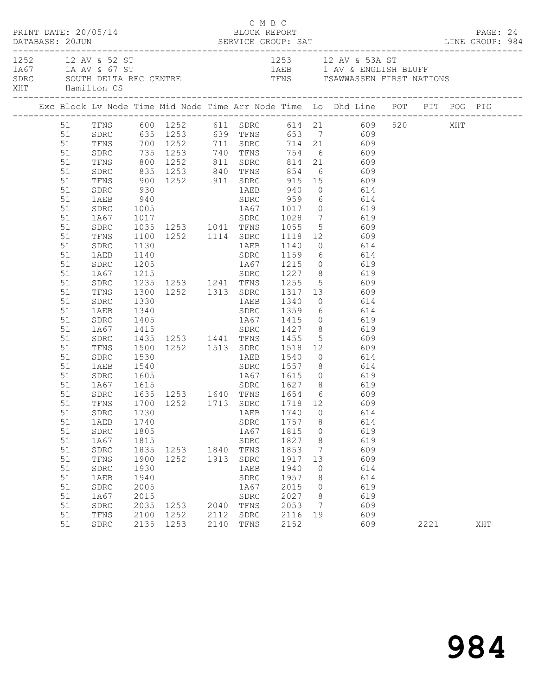|          | PRINT DATE: 20/05/14 |              | DATABASE: 20JUN SERVICE GROUP: SAT LINE GROUP: 984 |      | C M B C<br>BLOCK REPORT | PAGE: 24     |         |                                                                                                            |  |      |     |  |
|----------|----------------------|--------------|----------------------------------------------------|------|-------------------------|--------------|---------|------------------------------------------------------------------------------------------------------------|--|------|-----|--|
|          | XHT Hamilton CS      |              |                                                    |      |                         |              |         | 1252 12 AV & 52 ST<br>1A67 1A AV & 67 ST<br>SDRC SOUTH DELTA REC CENTRE TENS TENS TRAWWASSEN FIRST NATIONS |  |      |     |  |
|          |                      |              |                                                    |      |                         |              |         |                                                                                                            |  |      |     |  |
|          |                      |              |                                                    |      |                         |              |         | 51 TFNS 600 1252 611 SDRC 614 21 609 520 XHT<br>51 SDRC 635 1253 639 TFNS 653 7 609                        |  |      |     |  |
|          |                      |              |                                                    |      |                         |              |         |                                                                                                            |  |      |     |  |
| 51       |                      |              |                                                    |      |                         |              |         | TFNS 700 1252 711 SDRC 714 21 609                                                                          |  |      |     |  |
| 51       | SDRC                 |              |                                                    |      |                         |              |         |                                                                                                            |  |      |     |  |
| 51       | TFNS                 |              |                                                    |      |                         |              |         | 735 1253 740 TFNS 754 6 609<br>800 1252 811 SDRC 814 21 609<br>835 1253 840 TFNS 854 6 609                 |  |      |     |  |
| 51       | SDRC                 |              |                                                    |      |                         |              |         |                                                                                                            |  |      |     |  |
| 51       |                      |              |                                                    |      |                         |              |         | TFNS 900 1252 911 SDRC 915 15 609                                                                          |  |      |     |  |
| 51       | SDRC                 | 930          |                                                    |      |                         |              |         | 1AEB 940 0 614                                                                                             |  |      |     |  |
| 51       | 1AEB                 |              | $940$<br>$1005$                                    |      |                         |              |         | SDRC 959 6 614<br>1A67 1017 0 619                                                                          |  |      |     |  |
| 51       | SDRC                 |              |                                                    |      |                         |              |         |                                                                                                            |  |      |     |  |
| 51       |                      |              |                                                    |      |                         |              |         | 1867 1017<br>1867 1017 1041 1788 1028 7 619<br>SDRC 1035 1253 1041 TFNS 1055 5 609                         |  |      |     |  |
| 51       |                      |              |                                                    |      |                         |              |         |                                                                                                            |  |      |     |  |
| 51       | TFNS                 |              |                                                    |      |                         |              |         | 1100 1252 1114 SDRC 1118 12 609<br>1130 1AEB 1140 0 614                                                    |  |      |     |  |
| 51       | SDRC                 | 1140         |                                                    |      |                         |              |         | SDRC 1159 6 614                                                                                            |  |      |     |  |
| 51       | 1AEB                 |              |                                                    |      |                         |              |         |                                                                                                            |  |      |     |  |
| 51<br>51 | SDRC<br>1A67         |              |                                                    |      |                         |              |         |                                                                                                            |  |      |     |  |
| 51       | SDRC                 |              |                                                    |      |                         |              |         | 1205 1867 1215 0 619<br>1215 1253 1241 TFNS 1255 5 609<br>1300 1252 1313 SDRC 1317 13 609                  |  |      |     |  |
| 51       | TFNS                 |              |                                                    |      |                         |              |         |                                                                                                            |  |      |     |  |
| 51       | SDRC                 | 1330         |                                                    |      |                         |              |         | 1AEB 1340 0 614                                                                                            |  |      |     |  |
| 51       | 1AEB                 | 1340         |                                                    |      |                         |              |         |                                                                                                            |  |      |     |  |
| 51       | SDRC                 |              |                                                    |      |                         |              |         | SDRC 1359 6 614<br>1A67 1415 0 619<br>SDRC 1427 8 619                                                      |  |      |     |  |
| 51       | 1A67                 |              | $1405$<br>$1415$                                   |      |                         |              |         |                                                                                                            |  |      |     |  |
| 51       | SDRC                 |              | 1435 1253 1441 TFNS 1455                           |      |                         |              |         | 5 609                                                                                                      |  |      |     |  |
| 51       | TFNS                 |              |                                                    |      |                         |              |         | 1500 1252 1513 SDRC 1518 12 609                                                                            |  |      |     |  |
| 51       | SDRC                 |              |                                                    |      |                         |              |         | 1530 1AEB 1540 0 614<br>1540 1557 8 614                                                                    |  |      |     |  |
| 51       | 1AEB                 |              |                                                    |      |                         |              |         |                                                                                                            |  |      |     |  |
| 51       | SDRC                 |              |                                                    |      |                         |              |         | 1605 1A67 1615 0 619                                                                                       |  |      |     |  |
| 51       | 1A67                 |              |                                                    |      |                         |              |         |                                                                                                            |  |      |     |  |
| 51       | SDRC                 |              |                                                    |      |                         |              |         |                                                                                                            |  |      |     |  |
| 51       | TFNS                 |              |                                                    |      |                         |              |         |                                                                                                            |  |      |     |  |
|          |                      |              |                                                    |      |                         |              |         | 51 SDRC 1730 1AEB 1740 0 614                                                                               |  |      |     |  |
| 51       | 1AEB                 | 1740         |                                                    |      | SDRC                    | 1757         | 8       | 614                                                                                                        |  |      |     |  |
| 51       | SDRC                 | 1805         |                                                    |      | 1A67                    | 1815         | $\circ$ | 619                                                                                                        |  |      |     |  |
| 51<br>51 | 1A67                 | 1815<br>1835 | 1253 1840 TFNS                                     |      | ${\tt SDRC}$            | 1827<br>1853 | 8<br>7  | 619<br>609                                                                                                 |  |      |     |  |
| 51       | SDRC<br>TFNS         | 1900         | 1252                                               | 1913 | SDRC                    | 1917         | 13      | 609                                                                                                        |  |      |     |  |
| 51       | SDRC                 | 1930         |                                                    |      | 1AEB                    | 1940         | 0       | 614                                                                                                        |  |      |     |  |
| 51       | 1AEB                 | 1940         |                                                    |      | SDRC                    | 1957         | 8       | 614                                                                                                        |  |      |     |  |
| 51       | SDRC                 | 2005         |                                                    |      | 1A67                    | 2015         | $\circ$ | 619                                                                                                        |  |      |     |  |
| 51       | 1A67                 | 2015         |                                                    |      | SDRC                    | 2027         | 8       | 619                                                                                                        |  |      |     |  |
| 51       | ${\tt SDRC}$         | 2035         | 1253                                               |      | 2040 TFNS               | 2053         | 7       | 609                                                                                                        |  |      |     |  |
| 51       | TFNS                 | 2100         | 1252                                               | 2112 | ${\tt SDRC}$            | 2116         | 19      | 609                                                                                                        |  |      |     |  |
| 51       | SDRC                 |              | 2135 1253                                          | 2140 | TFNS                    | 2152         |         | 609                                                                                                        |  | 2221 | XHT |  |
|          |                      |              |                                                    |      |                         |              |         |                                                                                                            |  |      |     |  |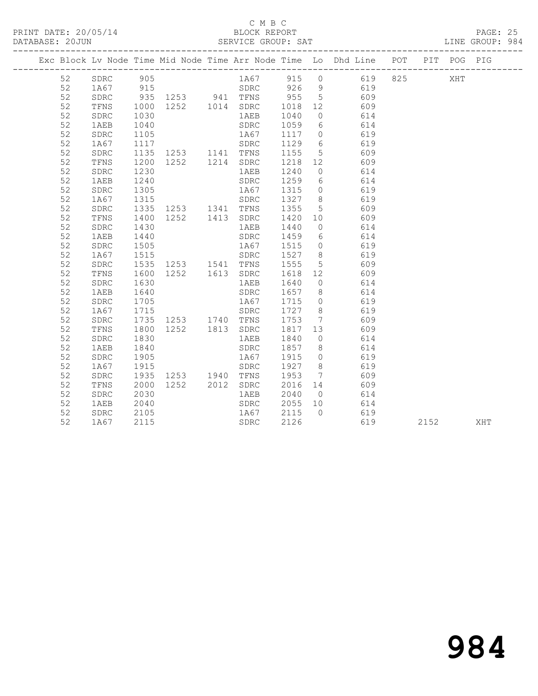### C M B C<br>BLOCK REPORT

PAGE: 25<br>LINE GROUP: 984

|          |              |      |                             |                                           |                                             |                | Exc Block Lv Node Time Mid Node Time Arr Node Time Lo Dhd Line POT PIT POG PIG                   |      |     |     |
|----------|--------------|------|-----------------------------|-------------------------------------------|---------------------------------------------|----------------|--------------------------------------------------------------------------------------------------|------|-----|-----|
| 52       | SDRC 905     |      |                             |                                           |                                             |                | SDRC 905<br>1A67 915<br>SDRC 935 1253 941 TFNS 955 5 609<br>TFNS 1000 1252 1014 SDRC 1018 12 609 |      | XHT |     |
| 52       |              |      |                             |                                           |                                             |                |                                                                                                  |      |     |     |
| 52       |              |      |                             |                                           |                                             |                |                                                                                                  |      |     |     |
| 52       |              |      |                             |                                           |                                             |                |                                                                                                  |      |     |     |
| 52       | SDRC         | 1030 |                             |                                           | 1AEB 1040                                   |                | 0 614                                                                                            |      |     |     |
| 52       | 1AEB         |      |                             |                                           |                                             |                | 614                                                                                              |      |     |     |
| 52       | SDRC         |      | 1040<br>1105<br>1117        | SDRC 1059 6<br>1A67 1117 0<br>SDRC 1129 6 |                                             |                | 619<br>619                                                                                       |      |     |     |
| 52       | 1A67         |      |                             | SDRC                                      |                                             |                |                                                                                                  |      |     |     |
| 52       | SDRC         |      | 1135 1253 1141 TFNS 1155    |                                           |                                             |                | 5 609                                                                                            |      |     |     |
| 52       | TFNS         |      | 1200 1252 1214 SDRC 1218 12 |                                           |                                             |                | 609                                                                                              |      |     |     |
| 52       | SDRC         | 1230 |                             |                                           | 1AEB 1240                                   | $\overline{0}$ | 614                                                                                              |      |     |     |
| 52       | 1AEB         |      | 1240<br>1305<br>1315        | SDRC 1259 6<br>1A67 1315 0<br>SDRC 1327 8 |                                             |                | 614                                                                                              |      |     |     |
| 52       | ${\tt SDRC}$ |      |                             |                                           |                                             |                | 619<br>619                                                                                       |      |     |     |
| 52       | 1A67         |      | 1335 1253 1341 TFNS 1355    |                                           |                                             |                |                                                                                                  |      |     |     |
| 52       | SDRC         |      |                             |                                           |                                             | $5^{\circ}$    | 609                                                                                              |      |     |     |
| 52       | TFNS         |      | 1400 1252 1413 SDRC 1420 10 |                                           |                                             |                | 609                                                                                              |      |     |     |
| 52       | SDRC         | 1430 |                             |                                           | 1AEB 1440                                   | $\overline{0}$ | 614                                                                                              |      |     |     |
| 52<br>52 | 1AEB         |      | 1440<br>1505<br>1515        | SDRC 1459 6<br>1A67 1515 0                |                                             |                | 614<br>619                                                                                       |      |     |     |
| 52       | SDRC<br>1A67 |      |                             |                                           |                                             |                | spr. 2002<br>SDRC 1527 8 619                                                                     |      |     |     |
| 52       | SDRC         |      | 1535 1253 1541 TFNS 1555    |                                           |                                             |                | 5 609                                                                                            |      |     |     |
| 52       | TFNS         | 1600 | 1252  1613  SDRC  1618  12  |                                           |                                             |                | 609                                                                                              |      |     |     |
| 52       | SDRC         | 1630 |                             |                                           |                                             |                | 614                                                                                              |      |     |     |
| 52       | 1AEB         |      |                             |                                           |                                             |                | 614                                                                                              |      |     |     |
| 52       | SDRC         |      | 1640<br>1705                | 1AEB 1640 0<br>SDRC 1657 8<br>1A67 1715 0 |                                             |                | 619                                                                                              |      |     |     |
| 52       | 1A67         | 1715 | SDRC 1727 8                 |                                           |                                             |                | 619                                                                                              |      |     |     |
| 52       | SDRC         |      | 1735 1253 1740 TFNS 1753    |                                           |                                             |                | 7 609                                                                                            |      |     |     |
| 52       | TFNS         | 1800 | 1252 1813 SDRC 1817 13      |                                           |                                             |                | 609                                                                                              |      |     |     |
| 52       | SDRC         | 1830 |                             | 1 AEB                                     |                                             |                | 614                                                                                              |      |     |     |
| 52       | 1AEB         | 1840 |                             | SDRC                                      | 1840 0<br>1857 8                            |                | 614                                                                                              |      |     |     |
| 52       | ${\tt SDRC}$ | 1905 |                             |                                           | 1A67 1915                                   |                | $0$ 619                                                                                          |      |     |     |
| 52       | 1A67         | 1915 |                             | SDRC                                      | 1927                                        | 8 <sup>8</sup> | 619                                                                                              |      |     |     |
| 52       | ${\tt SDRC}$ |      | 1935 1253 1940 TFNS 1953    |                                           |                                             |                | 7 609                                                                                            |      |     |     |
| 52       | TFNS         | 2000 |                             |                                           |                                             |                | 609                                                                                              |      |     |     |
| 52       | SDRC         | 2030 |                             |                                           | SDRC 2016 14<br>1AEB 2040 0<br>SDRC 2055 10 |                | $614$<br>$614$                                                                                   |      |     |     |
| 52       | 1AEB         | 2040 |                             |                                           |                                             |                |                                                                                                  |      |     |     |
| 52       | SDRC         | 2105 |                             |                                           | 1A67 2115 0                                 |                | 619                                                                                              |      |     |     |
| 52       | 1A67         | 2115 |                             | SDRC                                      | 2126                                        |                | 619                                                                                              | 2152 |     | XHT |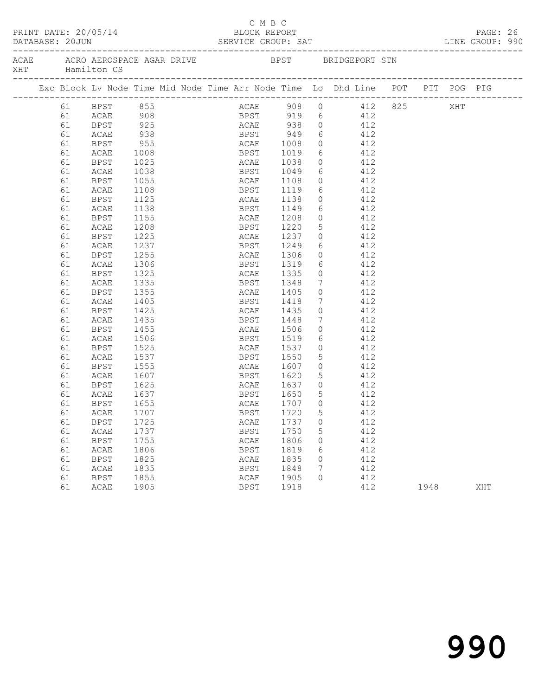| PRINT DATE: 20/05/14<br>DATABASE: 20JUN |  |    |             |                                                    |  |  |  | смвс<br>BLOCK REPORT<br>SERVICE GROUP: SAT |  |      |                 | LINE GROUP: 990                                                                |      |  | PAGE: 26 |  |
|-----------------------------------------|--|----|-------------|----------------------------------------------------|--|--|--|--------------------------------------------|--|------|-----------------|--------------------------------------------------------------------------------|------|--|----------|--|
| XHT                                     |  |    | Hamilton CS | ACAE ACRO AEROSPACE AGAR DRIVE BPST BRIDGEPORT STN |  |  |  |                                            |  |      |                 |                                                                                |      |  |          |  |
|                                         |  |    |             |                                                    |  |  |  |                                            |  |      |                 | Exc Block Lv Node Time Mid Node Time Arr Node Time Lo Dhd Line POT PIT POG PIG |      |  |          |  |
|                                         |  |    | 61 BPST 855 |                                                    |  |  |  |                                            |  |      |                 | ACAE 908 0 412 825 XHT                                                         |      |  |          |  |
|                                         |  | 61 | ACAE 908    |                                                    |  |  |  |                                            |  |      |                 | BPST 919 6 412                                                                 |      |  |          |  |
|                                         |  | 61 | <b>BPST</b> | 925                                                |  |  |  |                                            |  |      |                 | ACAE 938 0 412                                                                 |      |  |          |  |
|                                         |  | 61 | ACAE        | $938$<br>955<br>1008                               |  |  |  |                                            |  |      |                 | $\begin{array}{ccc} 6 & 412 \\ 0 & 412 \end{array}$                            |      |  |          |  |
|                                         |  | 61 | BPST        |                                                    |  |  |  |                                            |  |      | $\overline{0}$  | 412                                                                            |      |  |          |  |
|                                         |  | 61 | <b>ACAE</b> |                                                    |  |  |  |                                            |  |      |                 | BPST 1019 6 412                                                                |      |  |          |  |
|                                         |  | 61 | BPST        | 1025                                               |  |  |  | ACAE 1038                                  |  |      |                 | $0$ 412                                                                        |      |  |          |  |
|                                         |  | 61 | ACAE        | 1038                                               |  |  |  |                                            |  |      |                 | $6 \t 412$                                                                     |      |  |          |  |
|                                         |  | 61 | BPST        | 1055                                               |  |  |  | BPST 1049<br>ACAE 1108                     |  |      | $\overline{0}$  | 412                                                                            |      |  |          |  |
|                                         |  | 61 | ACAE        | 1108                                               |  |  |  | BPST 1119                                  |  |      |                 | $\begin{array}{cc} 6 & 112 \\ 6 & 412 \end{array}$                             |      |  |          |  |
|                                         |  | 61 | BPST        | 1125                                               |  |  |  | ACAE 1138                                  |  |      |                 | $0$ 412                                                                        |      |  |          |  |
|                                         |  | 61 | ACAE        | 1138                                               |  |  |  | BPST 1149                                  |  |      |                 | 6 412                                                                          |      |  |          |  |
|                                         |  | 61 | BPST        | 1155                                               |  |  |  |                                            |  |      | $\overline{0}$  | 412                                                                            |      |  |          |  |
|                                         |  | 61 | ACAE        | 1208                                               |  |  |  | ACAE 1208<br>BPST 1220                     |  |      | 5 <sup>5</sup>  | 412                                                                            |      |  |          |  |
|                                         |  | 61 | BPST        | 1225                                               |  |  |  |                                            |  |      |                 | ACAE 1237 0 412                                                                |      |  |          |  |
|                                         |  | 61 | ACAE        | 1237                                               |  |  |  | BPST 1249                                  |  |      |                 | 6 412                                                                          |      |  |          |  |
|                                         |  | 61 | BPST        | 1255                                               |  |  |  |                                            |  |      |                 |                                                                                |      |  |          |  |
|                                         |  | 61 | ACAE        | 1306                                               |  |  |  | ACAE 1306<br>BPST 1319                     |  |      |                 | $\begin{array}{ccc} 0 & & 412 \\ 6 & & 412 \end{array}$                        |      |  |          |  |
|                                         |  | 61 | BPST        | 1325                                               |  |  |  | ACAE 1335                                  |  |      |                 | $0$ 412                                                                        |      |  |          |  |
|                                         |  | 61 | ACAE        | 1335                                               |  |  |  | BPST 1348                                  |  |      | $7\overline{ }$ | 412                                                                            |      |  |          |  |
|                                         |  | 61 | BPST        | 1355                                               |  |  |  |                                            |  |      | $\overline{0}$  | 412                                                                            |      |  |          |  |
|                                         |  | 61 | ACAE        | 1405                                               |  |  |  | ACAE 1405<br>BPST 1418                     |  |      | $7\phantom{.0}$ | 412                                                                            |      |  |          |  |
|                                         |  | 61 | BPST        | 1425                                               |  |  |  | ACAE 1435                                  |  |      | $\overline{0}$  | 412                                                                            |      |  |          |  |
|                                         |  | 61 | ACAE        | 1435                                               |  |  |  | BPST 1448                                  |  |      | $7\overline{ }$ | 412                                                                            |      |  |          |  |
|                                         |  | 61 | BPST        | 1455                                               |  |  |  |                                            |  |      |                 | $\overline{0}$<br>412                                                          |      |  |          |  |
|                                         |  | 61 | ACAE        | 1506                                               |  |  |  | ACAE 1506<br>BPST 1519                     |  |      | 6               | 412                                                                            |      |  |          |  |
|                                         |  | 61 | BPST        | 1525                                               |  |  |  | ACAE 1537                                  |  |      |                 | $0$ 412                                                                        |      |  |          |  |
|                                         |  | 61 | ACAE        | 1537                                               |  |  |  | BPST 1550                                  |  |      | 5 <sup>5</sup>  | 412                                                                            |      |  |          |  |
|                                         |  | 61 | BPST        | 1555                                               |  |  |  |                                            |  |      |                 | $\overline{0}$<br>412                                                          |      |  |          |  |
|                                         |  | 61 | ACAE        | 1607                                               |  |  |  | ACAE 1607<br>BPST 1620                     |  |      | 5 <sup>5</sup>  | 412                                                                            |      |  |          |  |
|                                         |  | 61 | BPST        | 1625                                               |  |  |  |                                            |  |      |                 | ACAE 1637 0 412                                                                |      |  |          |  |
|                                         |  | 61 | ACAE        | 1637                                               |  |  |  | BPST 1650 5                                |  |      |                 | 412                                                                            |      |  |          |  |
|                                         |  | 61 | BPST        | 1655                                               |  |  |  | ACAE                                       |  | 1707 | $\overline{0}$  | 412                                                                            |      |  |          |  |
|                                         |  | 61 | ACAE 1707   |                                                    |  |  |  | BPST 1720 5                                |  |      |                 | 412                                                                            |      |  |          |  |
|                                         |  | 61 | BPST        | 1725                                               |  |  |  | ACAE                                       |  | 1737 | 0               | 412                                                                            |      |  |          |  |
|                                         |  | 61 | ACAE        | 1737                                               |  |  |  | <b>BPST</b>                                |  | 1750 | 5               | 412                                                                            |      |  |          |  |
|                                         |  | 61 | <b>BPST</b> | 1755                                               |  |  |  | ACAE                                       |  | 1806 | 0               | 412                                                                            |      |  |          |  |
|                                         |  | 61 | ACAE        | 1806                                               |  |  |  | <b>BPST</b>                                |  | 1819 | 6               | 412                                                                            |      |  |          |  |
|                                         |  | 61 | <b>BPST</b> | 1825                                               |  |  |  | ACAE                                       |  | 1835 | 0               | 412                                                                            |      |  |          |  |
|                                         |  | 61 | ACAE        | 1835                                               |  |  |  | <b>BPST</b>                                |  | 1848 | 7               | 412                                                                            |      |  |          |  |
|                                         |  | 61 | <b>BPST</b> | 1855                                               |  |  |  | ACAE                                       |  | 1905 | 0               | 412                                                                            |      |  |          |  |
|                                         |  | 61 | ACAE        | 1905                                               |  |  |  | <b>BPST</b>                                |  | 1918 |                 | 412                                                                            | 1948 |  | XHT      |  |
|                                         |  |    |             |                                                    |  |  |  |                                            |  |      |                 |                                                                                |      |  |          |  |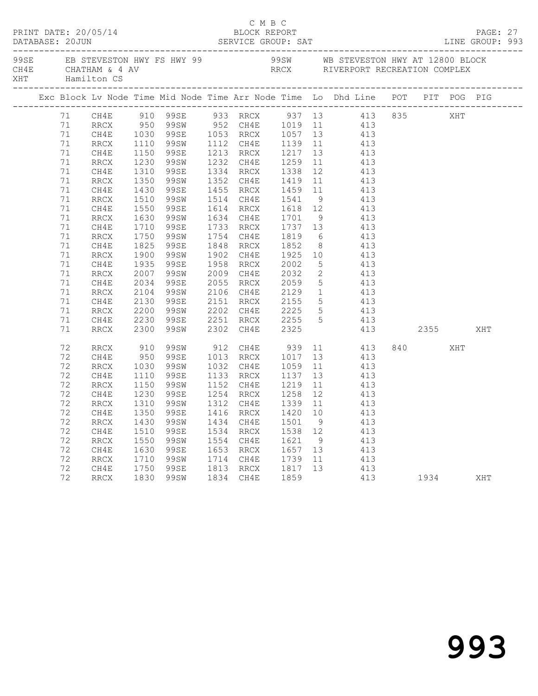| PRINT DATE: 20/05/14 |    |      |              |                                     |      | C M B C<br>BLOCK REPORT                            |         |                | DATABASE: 20JUN SERVICE GROUP: SAT LINE GROUP: 993                                                                               |  |                |     | PAGE: 27 |  |  |
|----------------------|----|------|--------------|-------------------------------------|------|----------------------------------------------------|---------|----------------|----------------------------------------------------------------------------------------------------------------------------------|--|----------------|-----|----------|--|--|
| XHT Hamilton CS      |    |      |              |                                     |      |                                                    |         |                |                                                                                                                                  |  |                |     |          |  |  |
|                      |    |      |              |                                     |      |                                                    |         |                |                                                                                                                                  |  |                |     |          |  |  |
|                      |    |      |              |                                     |      |                                                    |         |                | 71 CH4E 910 99SE 933 RRCX 937 13 413 835 XHT<br>71 RRCX 950 99SW 952 CH4E 1019 11 413<br>71 CH4E 1030 99SE 1053 RRCX 1057 13 413 |  |                |     |          |  |  |
|                      |    |      |              |                                     |      |                                                    |         |                |                                                                                                                                  |  |                |     |          |  |  |
|                      |    |      |              |                                     |      |                                                    |         |                |                                                                                                                                  |  |                |     |          |  |  |
|                      | 71 | RRCX |              | 1110 99SW                           |      |                                                    |         |                | 1112 CH4E 1139 11 413                                                                                                            |  |                |     |          |  |  |
|                      | 71 | CH4E | 1150         | 99se                                |      |                                                    |         |                |                                                                                                                                  |  |                |     |          |  |  |
|                      | 71 | RRCX |              | 99SW                                |      |                                                    |         |                |                                                                                                                                  |  |                |     |          |  |  |
|                      | 71 | CH4E | 1230<br>1310 | 99se                                |      |                                                    |         |                | 1213 RRCX 1217 13 413<br>1232 CH4E 1259 11 413<br>1334 RRCX 1338 12 413                                                          |  |                |     |          |  |  |
|                      | 71 | RRCX | 1350         | 99SW                                |      |                                                    |         |                | 1352 CH4E 1419 11 413                                                                                                            |  |                |     |          |  |  |
|                      | 71 | CH4E | 1430         | 99se                                |      |                                                    |         |                | 1455 RRCX 1459 11 413                                                                                                            |  |                |     |          |  |  |
|                      | 71 | RRCX |              | 99SW                                |      |                                                    |         |                |                                                                                                                                  |  |                |     |          |  |  |
|                      | 71 | CH4E | 1510<br>1550 | 99SE                                |      |                                                    |         |                | 1514 CH4E 1541 9 413<br>1614 RRCX 1618 12 413                                                                                    |  |                |     |          |  |  |
|                      | 71 | RRCX | 1630         | 99SW                                |      | 1634 CH4E 1701                                     |         |                | 9 413                                                                                                                            |  |                |     |          |  |  |
|                      | 71 | CH4E | 1710         | 99se                                |      |                                                    |         |                | 1733 RRCX 1737 13 413                                                                                                            |  |                |     |          |  |  |
|                      | 71 | RRCX |              | 99SW                                |      |                                                    |         |                |                                                                                                                                  |  |                |     |          |  |  |
|                      | 71 | CH4E | 1750<br>1825 | 99se                                |      | 1754 CH4E 1819<br>1848 RRCX 1852                   |         |                | $\begin{array}{ccc} 6 & & 413 \\ 8 & & 413 \end{array}$                                                                          |  |                |     |          |  |  |
|                      | 71 | RRCX | 1900         | 99SW                                |      |                                                    |         |                | 1902 CH4E 1925 10 413                                                                                                            |  |                |     |          |  |  |
|                      | 71 | CH4E | 1935         | 99SE                                |      | 1958 RRCX 2002                                     |         |                | 5 413                                                                                                                            |  |                |     |          |  |  |
|                      | 71 | RRCX |              | 2007 99SW<br>2034 99SE<br>2104 99SW |      | 2009 CH4E 2032<br>2055 RRCX 2059<br>2106 CH4E 2129 |         |                | $\begin{array}{ccc} 2 & 413 \\ 5 & 413 \end{array}$                                                                              |  |                |     |          |  |  |
|                      | 71 | CH4E |              |                                     |      |                                                    |         | 5 <sup>5</sup> | 413                                                                                                                              |  |                |     |          |  |  |
|                      | 71 | RRCX |              |                                     |      |                                                    |         |                | $\frac{1}{1}$ 413                                                                                                                |  |                |     |          |  |  |
|                      | 71 | CH4E | 2130         | 99SE                                |      | 2151 RRCX 2155                                     |         |                | 5 413                                                                                                                            |  |                |     |          |  |  |
|                      | 71 | RRCX | 2200         | 99SW                                |      | 2202 CH4E                                          |         |                | 5 413                                                                                                                            |  |                |     |          |  |  |
|                      | 71 | CH4E |              | 99se                                |      |                                                    |         |                | 413                                                                                                                              |  |                |     |          |  |  |
|                      | 71 | RRCX | 2230<br>2300 | 99SW                                |      | 2202 CH4E 2225<br>2251 RRCX 2255<br>2302 CH4E 2325 |         | $\overline{5}$ | 413 2355                                                                                                                         |  |                |     | XHT      |  |  |
|                      | 72 | RRCX |              |                                     |      |                                                    |         |                | 99SW 912 CH4E 939 11 413                                                                                                         |  | 840 and $\sim$ | XHT |          |  |  |
|                      | 72 | CH4E | 910<br>950   | 99se                                |      | 1013 RRCX 1017 13                                  |         |                | 413                                                                                                                              |  |                |     |          |  |  |
|                      | 72 | RRCX | 1030         | 99SW                                |      | 1032 CH4E                                          | $-1059$ |                | $\overline{11}$ $\overline{413}$                                                                                                 |  |                |     |          |  |  |
|                      | 72 | CH4E | 1110         | 99se                                |      |                                                    |         |                | 1133 RRCX 1137 13 413                                                                                                            |  |                |     |          |  |  |
|                      | 72 | RRCX | 1150         | 99SW                                |      |                                                    |         |                |                                                                                                                                  |  |                |     |          |  |  |
|                      | 72 | CH4E |              |                                     |      |                                                    |         |                | 1152 CH4E 1219 11 413<br>1254 RRCX 1258 12 413<br>1312 CH4E 1339 11 413                                                          |  |                |     |          |  |  |
|                      | 72 | RRCX |              | 1230 99SE<br>1310 99SW              |      |                                                    |         |                |                                                                                                                                  |  |                |     |          |  |  |
|                      |    |      |              |                                     |      |                                                    |         |                | 72 CH4E 1350 99SE 1416 RRCX 1420 10 413                                                                                          |  |                |     |          |  |  |
|                      | 72 | RRCX | 1430         | 99SW                                | 1434 | CH4E                                               | 1501    | $\overline{9}$ | 413                                                                                                                              |  |                |     |          |  |  |
|                      | 72 | CH4E | 1510         | 99se                                |      | 1534 RRCX                                          | 1538 12 |                | 413                                                                                                                              |  |                |     |          |  |  |
|                      | 72 | RRCX | 1550         | 99SW                                | 1554 | CH4E                                               | 1621    | 9              | 413                                                                                                                              |  |                |     |          |  |  |
|                      | 72 | CH4E | 1630         | 99SE                                | 1653 | RRCX                                               | 1657    | 13             | 413                                                                                                                              |  |                |     |          |  |  |
|                      | 72 | RRCX | 1710         | 99SW                                | 1714 | CH4E                                               | 1739    | 11             | 413                                                                                                                              |  |                |     |          |  |  |
|                      | 72 | CH4E | 1750         | 99SE                                | 1813 | $\rm RRCX$                                         | 1817    | 13             | 413                                                                                                                              |  |                |     |          |  |  |
|                      | 72 | RRCX | 1830         | 99SW                                | 1834 | CH4E                                               | 1859    |                | 413                                                                                                                              |  | 1934           |     | XHT      |  |  |